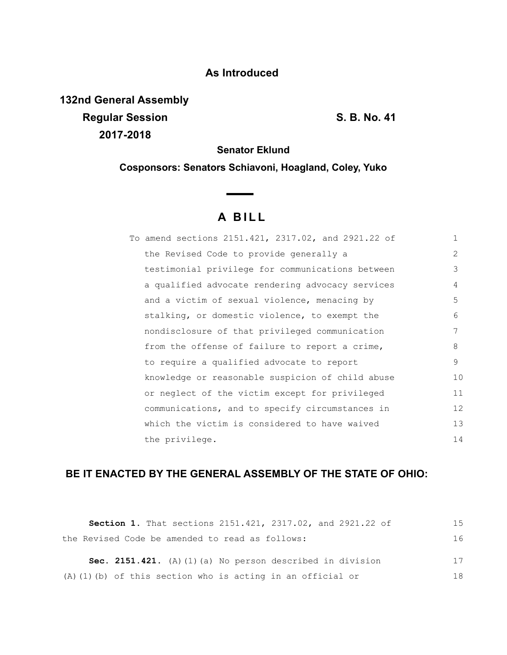# **As Introduced**

**132nd General Assembly Regular Session S. B. No. 41 2017-2018**

**Senator Eklund**

**Cosponsors: Senators Schiavoni, Hoagland, Coley, Yuko**

# **A B I L L**

<u> The Common State State Sta</u>te

| To amend sections 2151.421, 2317.02, and 2921.22 of | $\mathbf{1}$   |
|-----------------------------------------------------|----------------|
| the Revised Code to provide generally a             | $\overline{2}$ |
| testimonial privilege for communications between    | 3              |
| a qualified advocate rendering advocacy services    | 4              |
| and a victim of sexual violence, menacing by        | 5              |
| stalking, or domestic violence, to exempt the       | 6              |
| nondisclosure of that privileged communication      | 7              |
| from the offense of failure to report a crime,      | 8              |
| to require a qualified advocate to report           | 9              |
| knowledge or reasonable suspicion of child abuse    | 10             |
| or neglect of the victim except for privileged      | 11             |
| communications, and to specify circumstances in     | 12             |
| which the victim is considered to have waived       | 13             |
| the privilege.                                      | 14             |

# **BE IT ENACTED BY THE GENERAL ASSEMBLY OF THE STATE OF OHIO:**

| Section 1. That sections 2151.421, 2317.02, and 2921.22 of    | 1.5 |
|---------------------------------------------------------------|-----|
| the Revised Code be amended to read as follows:               | 16  |
| Sec. 2151.421. (A) (1) (a) No person described in division    | 17  |
| $(A)$ (1) (b) of this section who is acting in an official or | 18  |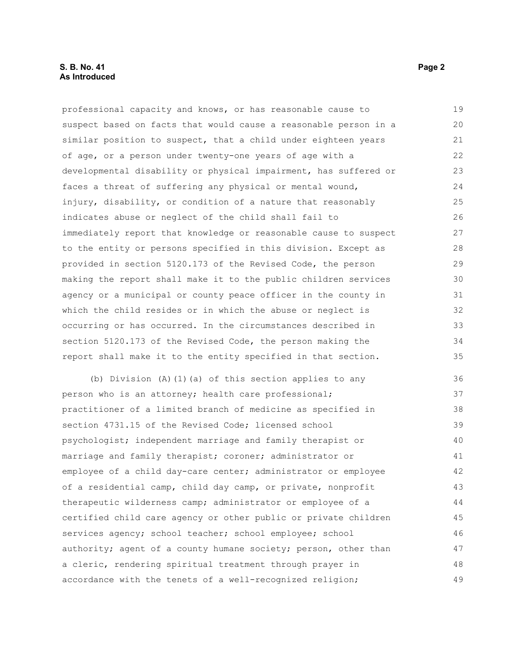#### **S. B. No. 41 Page 2 As Introduced**

professional capacity and knows, or has reasonable cause to suspect based on facts that would cause a reasonable person in a similar position to suspect, that a child under eighteen years of age, or a person under twenty-one years of age with a developmental disability or physical impairment, has suffered or faces a threat of suffering any physical or mental wound, injury, disability, or condition of a nature that reasonably indicates abuse or neglect of the child shall fail to immediately report that knowledge or reasonable cause to suspect to the entity or persons specified in this division. Except as provided in section 5120.173 of the Revised Code, the person making the report shall make it to the public children services agency or a municipal or county peace officer in the county in which the child resides or in which the abuse or neglect is occurring or has occurred. In the circumstances described in section 5120.173 of the Revised Code, the person making the report shall make it to the entity specified in that section. 19 20 21 22 23 24 25 26 27 28 29 30 31 32 33 34 35

(b) Division (A)(1)(a) of this section applies to any person who is an attorney; health care professional; practitioner of a limited branch of medicine as specified in section 4731.15 of the Revised Code; licensed school psychologist; independent marriage and family therapist or marriage and family therapist; coroner; administrator or employee of a child day-care center; administrator or employee of a residential camp, child day camp, or private, nonprofit therapeutic wilderness camp; administrator or employee of a certified child care agency or other public or private children services agency; school teacher; school employee; school authority; agent of a county humane society; person, other than a cleric, rendering spiritual treatment through prayer in accordance with the tenets of a well-recognized religion; 36 37 38 39 40 41 42 43 44 45 46 47 48 49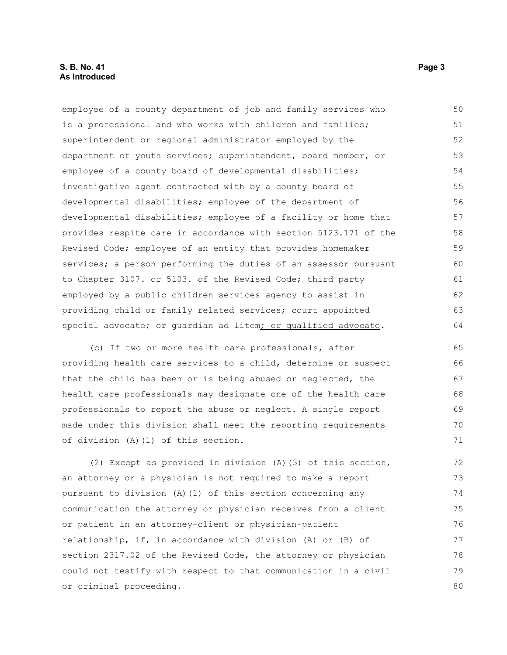#### **S. B. No. 41 Page 3 As Introduced**

employee of a county department of job and family services who is a professional and who works with children and families; superintendent or regional administrator employed by the department of youth services; superintendent, board member, or employee of a county board of developmental disabilities; investigative agent contracted with by a county board of developmental disabilities; employee of the department of developmental disabilities; employee of a facility or home that provides respite care in accordance with section 5123.171 of the Revised Code; employee of an entity that provides homemaker services; a person performing the duties of an assessor pursuant to Chapter 3107. or 5103. of the Revised Code; third party employed by a public children services agency to assist in providing child or family related services; court appointed special advocate;  $or$ -quardian ad litem; or qualified advocate. 50 51 52 53 54 55 56 57 58 59 60 61 62 63 64

(c) If two or more health care professionals, after providing health care services to a child, determine or suspect that the child has been or is being abused or neglected, the health care professionals may designate one of the health care professionals to report the abuse or neglect. A single report made under this division shall meet the reporting requirements of division (A)(1) of this section. 65 66 67 68 69 70 71

(2) Except as provided in division (A)(3) of this section, an attorney or a physician is not required to make a report pursuant to division (A)(1) of this section concerning any communication the attorney or physician receives from a client or patient in an attorney-client or physician-patient relationship, if, in accordance with division (A) or (B) of section 2317.02 of the Revised Code, the attorney or physician could not testify with respect to that communication in a civil or criminal proceeding. 72 73 74 75 76 77 78 79 80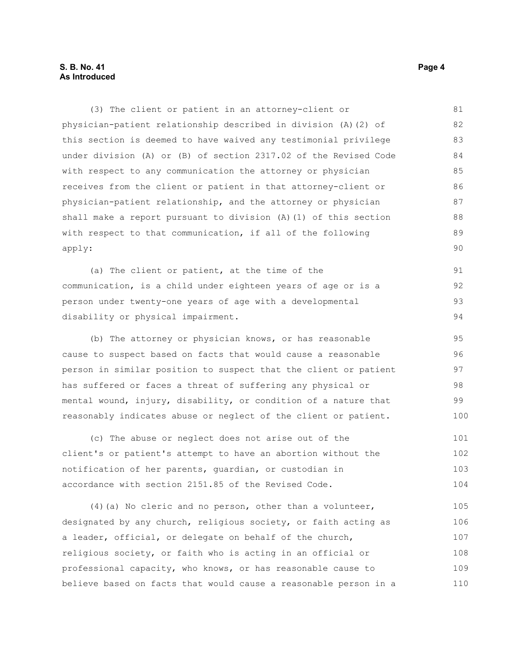#### **S. B. No. 41 Page 4 As Introduced**

(3) The client or patient in an attorney-client or physician-patient relationship described in division (A)(2) of this section is deemed to have waived any testimonial privilege under division (A) or (B) of section 2317.02 of the Revised Code with respect to any communication the attorney or physician receives from the client or patient in that attorney-client or physician-patient relationship, and the attorney or physician shall make a report pursuant to division (A)(1) of this section with respect to that communication, if all of the following apply: 81 82 83 84 85 86 87 88 89 90

(a) The client or patient, at the time of the communication, is a child under eighteen years of age or is a person under twenty-one years of age with a developmental disability or physical impairment. 91 92 93 94

(b) The attorney or physician knows, or has reasonable cause to suspect based on facts that would cause a reasonable person in similar position to suspect that the client or patient has suffered or faces a threat of suffering any physical or mental wound, injury, disability, or condition of a nature that reasonably indicates abuse or neglect of the client or patient. 95 96 99 100

(c) The abuse or neglect does not arise out of the client's or patient's attempt to have an abortion without the notification of her parents, guardian, or custodian in accordance with section 2151.85 of the Revised Code. 101 102 103 104

(4)(a) No cleric and no person, other than a volunteer, designated by any church, religious society, or faith acting as a leader, official, or delegate on behalf of the church, religious society, or faith who is acting in an official or professional capacity, who knows, or has reasonable cause to believe based on facts that would cause a reasonable person in a 105 106 107 108 109 110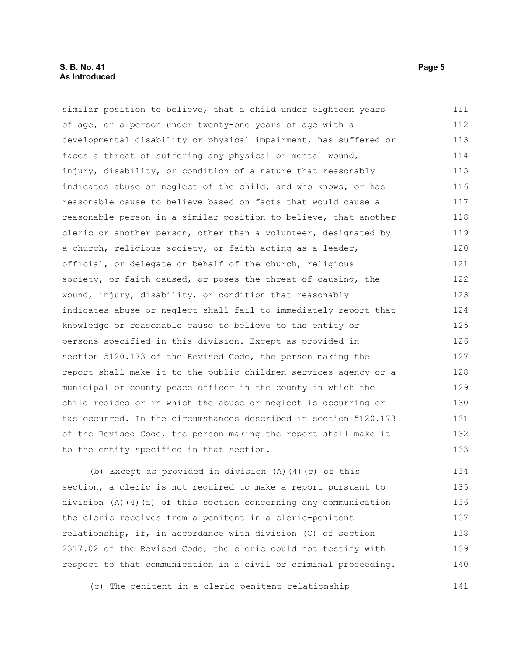#### **S. B. No. 41 Page 5 As Introduced**

similar position to believe, that a child under eighteen years of age, or a person under twenty-one years of age with a developmental disability or physical impairment, has suffered or faces a threat of suffering any physical or mental wound, injury, disability, or condition of a nature that reasonably indicates abuse or neglect of the child, and who knows, or has reasonable cause to believe based on facts that would cause a reasonable person in a similar position to believe, that another cleric or another person, other than a volunteer, designated by a church, religious society, or faith acting as a leader, official, or delegate on behalf of the church, religious society, or faith caused, or poses the threat of causing, the wound, injury, disability, or condition that reasonably indicates abuse or neglect shall fail to immediately report that knowledge or reasonable cause to believe to the entity or persons specified in this division. Except as provided in section 5120.173 of the Revised Code, the person making the report shall make it to the public children services agency or a municipal or county peace officer in the county in which the child resides or in which the abuse or neglect is occurring or has occurred. In the circumstances described in section 5120.173 of the Revised Code, the person making the report shall make it to the entity specified in that section. 111 112 113 114 115 116 117 118 119 120 121 122 123 124 125 126 127 128 129 130 131 132 133

(b) Except as provided in division (A)(4)(c) of this section, a cleric is not required to make a report pursuant to division (A)(4)(a) of this section concerning any communication the cleric receives from a penitent in a cleric-penitent relationship, if, in accordance with division (C) of section 2317.02 of the Revised Code, the cleric could not testify with respect to that communication in a civil or criminal proceeding. 134 135 136 137 138 139 140

(c) The penitent in a cleric-penitent relationship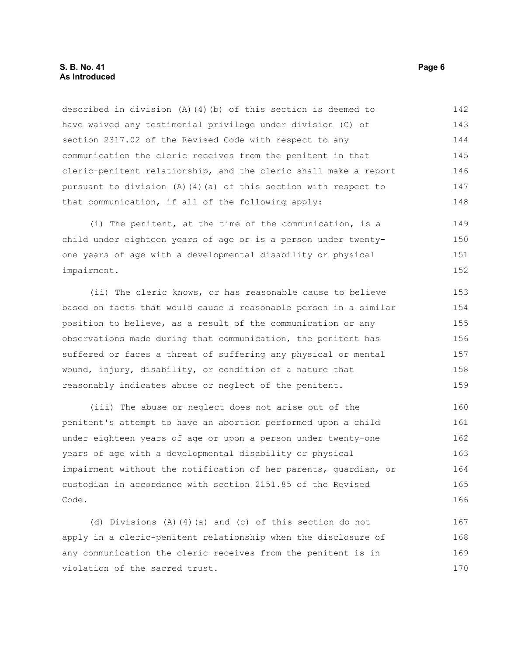described in division (A)(4)(b) of this section is deemed to have waived any testimonial privilege under division (C) of section 2317.02 of the Revised Code with respect to any communication the cleric receives from the penitent in that cleric-penitent relationship, and the cleric shall make a report pursuant to division (A)(4)(a) of this section with respect to that communication, if all of the following apply: 142 143 144 145 146 147 148

(i) The penitent, at the time of the communication, is a child under eighteen years of age or is a person under twentyone years of age with a developmental disability or physical impairment. 149 150 151 152

(ii) The cleric knows, or has reasonable cause to believe based on facts that would cause a reasonable person in a similar position to believe, as a result of the communication or any observations made during that communication, the penitent has suffered or faces a threat of suffering any physical or mental wound, injury, disability, or condition of a nature that reasonably indicates abuse or neglect of the penitent. 153 154 155 156 157 158 159

(iii) The abuse or neglect does not arise out of the penitent's attempt to have an abortion performed upon a child under eighteen years of age or upon a person under twenty-one years of age with a developmental disability or physical impairment without the notification of her parents, guardian, or custodian in accordance with section 2151.85 of the Revised Code. 160 161 162 163 164 165 166

(d) Divisions (A)(4)(a) and (c) of this section do not apply in a cleric-penitent relationship when the disclosure of any communication the cleric receives from the penitent is in violation of the sacred trust. 167 168 169 170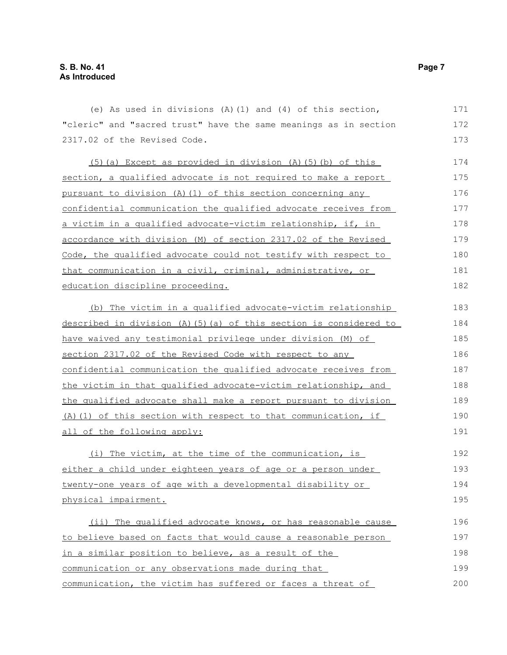### **S. B. No. 41 Page 7 As Introduced**

(e) As used in divisions (A)(1) and (4) of this section, "cleric" and "sacred trust" have the same meanings as in section 2317.02 of the Revised Code. (5)(a) Except as provided in division (A)(5)(b) of this section, a qualified advocate is not required to make a report pursuant to division (A)(1) of this section concerning any confidential communication the qualified advocate receives from a victim in a qualified advocate-victim relationship, if, in accordance with division (M) of section 2317.02 of the Revised Code, the qualified advocate could not testify with respect to that communication in a civil, criminal, administrative, or education discipline proceeding. (b) The victim in a qualified advocate-victim relationship described in division (A)(5)(a) of this section is considered to have waived any testimonial privilege under division (M) of section 2317.02 of the Revised Code with respect to any confidential communication the qualified advocate receives from the victim in that qualified advocate-victim relationship, and the qualified advocate shall make a report pursuant to division  $(A)$  (1) of this section with respect to that communication, if all of the following apply: (i) The victim, at the time of the communication, is either a child under eighteen years of age or a person under twenty-one years of age with a developmental disability or physical impairment. (ii) The qualified advocate knows, or has reasonable cause to believe based on facts that would cause a reasonable person in a similar position to believe, as a result of the communication or any observations made during that 171 172 173 174 175 176 177 178 179 180 181 182 183 184 185 186 187 188 189 190 191 192 193 194 195 196 197 198 199

communication, the victim has suffered or faces a threat of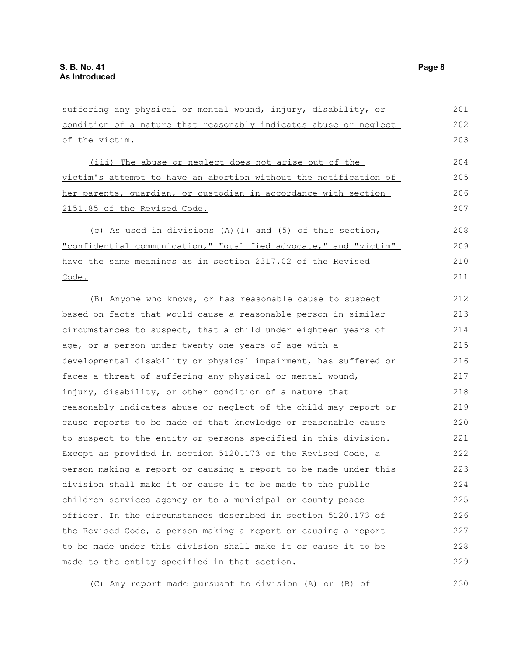suffering any physical or mental wound, injury, disability, or condition of a nature that reasonably indicates abuse or neglect of the victim. (iii) The abuse or neglect does not arise out of the victim's attempt to have an abortion without the notification of her parents, guardian, or custodian in accordance with section 2151.85 of the Revised Code. (c) As used in divisions (A)(1) and (5) of this section, "confidential communication," "qualified advocate," and "victim" have the same meanings as in section 2317.02 of the Revised Code. (B) Anyone who knows, or has reasonable cause to suspect based on facts that would cause a reasonable person in similar circumstances to suspect, that a child under eighteen years of age, or a person under twenty-one years of age with a developmental disability or physical impairment, has suffered or faces a threat of suffering any physical or mental wound, injury, disability, or other condition of a nature that reasonably indicates abuse or neglect of the child may report or cause reports to be made of that knowledge or reasonable cause to suspect to the entity or persons specified in this division. Except as provided in section 5120.173 of the Revised Code, a person making a report or causing a report to be made under this division shall make it or cause it to be made to the public children services agency or to a municipal or county peace officer. In the circumstances described in section 5120.173 of the Revised Code, a person making a report or causing a report to be made under this division shall make it or cause it to be made to the entity specified in that section. 201 202 203 204 205 206 207 208 209 210 211 212 213 214 215 216 217 218 219 220 221 222 223 224 225 226 227 228 229

(C) Any report made pursuant to division (A) or (B) of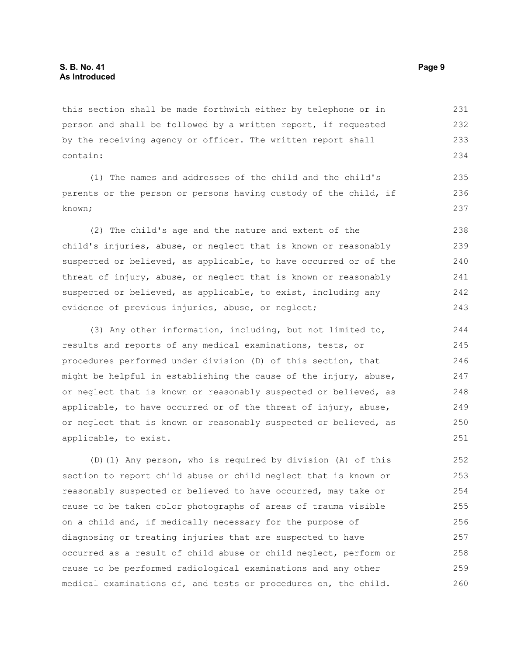this section shall be made forthwith either by telephone or in person and shall be followed by a written report, if requested by the receiving agency or officer. The written report shall contain:

(1) The names and addresses of the child and the child's parents or the person or persons having custody of the child, if known;

(2) The child's age and the nature and extent of the child's injuries, abuse, or neglect that is known or reasonably suspected or believed, as applicable, to have occurred or of the threat of injury, abuse, or neglect that is known or reasonably suspected or believed, as applicable, to exist, including any evidence of previous injuries, abuse, or neglect; 238 239 240 241 242 243

(3) Any other information, including, but not limited to, results and reports of any medical examinations, tests, or procedures performed under division (D) of this section, that might be helpful in establishing the cause of the injury, abuse, or neglect that is known or reasonably suspected or believed, as applicable, to have occurred or of the threat of injury, abuse, or neglect that is known or reasonably suspected or believed, as applicable, to exist. 244 245 246 247 248 249 250 251

(D)(1) Any person, who is required by division (A) of this section to report child abuse or child neglect that is known or reasonably suspected or believed to have occurred, may take or cause to be taken color photographs of areas of trauma visible on a child and, if medically necessary for the purpose of diagnosing or treating injuries that are suspected to have occurred as a result of child abuse or child neglect, perform or cause to be performed radiological examinations and any other medical examinations of, and tests or procedures on, the child. 252 253 254 255 256 257 258 259 260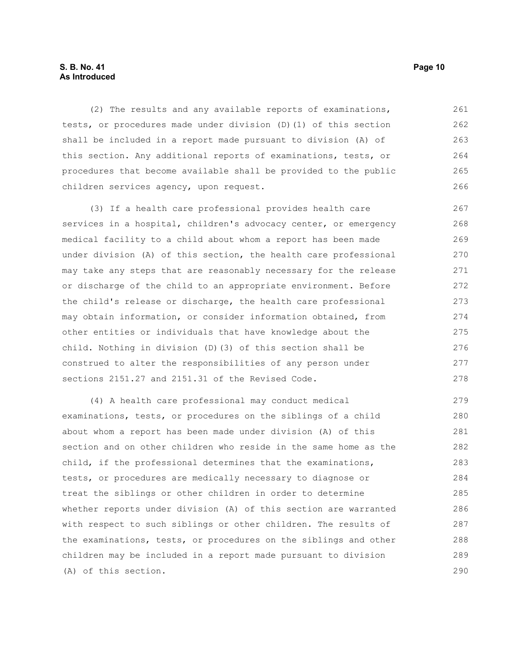#### **S. B. No. 41 Page 10 As Introduced**

(2) The results and any available reports of examinations, tests, or procedures made under division (D)(1) of this section shall be included in a report made pursuant to division (A) of this section. Any additional reports of examinations, tests, or procedures that become available shall be provided to the public children services agency, upon request. 261 262 263 264 265 266

(3) If a health care professional provides health care services in a hospital, children's advocacy center, or emergency medical facility to a child about whom a report has been made under division (A) of this section, the health care professional may take any steps that are reasonably necessary for the release or discharge of the child to an appropriate environment. Before the child's release or discharge, the health care professional may obtain information, or consider information obtained, from other entities or individuals that have knowledge about the child. Nothing in division (D)(3) of this section shall be construed to alter the responsibilities of any person under sections 2151.27 and 2151.31 of the Revised Code. 267 268 269 270 271 272 273 274 275 276 277 278

(4) A health care professional may conduct medical examinations, tests, or procedures on the siblings of a child about whom a report has been made under division (A) of this section and on other children who reside in the same home as the child, if the professional determines that the examinations, tests, or procedures are medically necessary to diagnose or treat the siblings or other children in order to determine whether reports under division (A) of this section are warranted with respect to such siblings or other children. The results of the examinations, tests, or procedures on the siblings and other children may be included in a report made pursuant to division (A) of this section. 279 280 281 282 283 284 285 286 287 288 289 290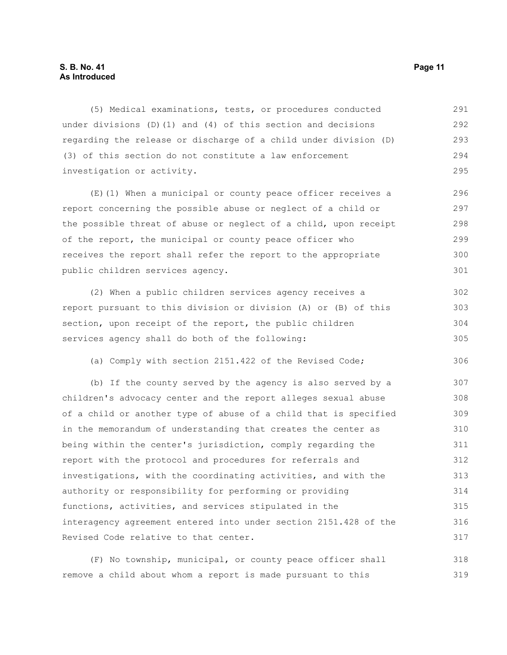#### **S. B. No. 41 Page 11 As Introduced**

(5) Medical examinations, tests, or procedures conducted under divisions (D)(1) and (4) of this section and decisions regarding the release or discharge of a child under division (D) (3) of this section do not constitute a law enforcement investigation or activity. 291 292 293 294 295

(E)(1) When a municipal or county peace officer receives a report concerning the possible abuse or neglect of a child or the possible threat of abuse or neglect of a child, upon receipt of the report, the municipal or county peace officer who receives the report shall refer the report to the appropriate public children services agency. 296 297 298 299 300 301

(2) When a public children services agency receives a report pursuant to this division or division (A) or (B) of this section, upon receipt of the report, the public children services agency shall do both of the following: 302 303 304 305

(a) Comply with section 2151.422 of the Revised Code;

(b) If the county served by the agency is also served by a children's advocacy center and the report alleges sexual abuse of a child or another type of abuse of a child that is specified in the memorandum of understanding that creates the center as being within the center's jurisdiction, comply regarding the report with the protocol and procedures for referrals and investigations, with the coordinating activities, and with the authority or responsibility for performing or providing functions, activities, and services stipulated in the interagency agreement entered into under section 2151.428 of the Revised Code relative to that center. 307 308 309 310 311 312 313 314 315 316 317

(F) No township, municipal, or county peace officer shall remove a child about whom a report is made pursuant to this 318 319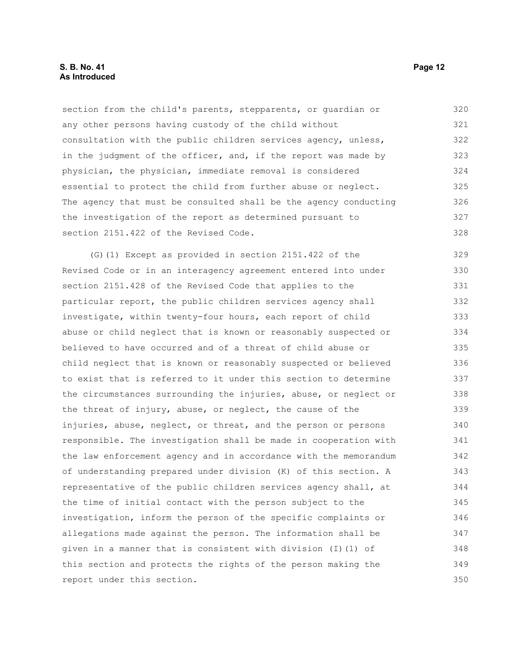#### **S. B. No. 41 Page 12 As Introduced**

section from the child's parents, stepparents, or guardian or any other persons having custody of the child without consultation with the public children services agency, unless, in the judgment of the officer, and, if the report was made by physician, the physician, immediate removal is considered essential to protect the child from further abuse or neglect. The agency that must be consulted shall be the agency conducting the investigation of the report as determined pursuant to section 2151.422 of the Revised Code. 320 321 322 323 324 325 326 327 328

(G)(1) Except as provided in section 2151.422 of the Revised Code or in an interagency agreement entered into under section 2151.428 of the Revised Code that applies to the particular report, the public children services agency shall investigate, within twenty-four hours, each report of child abuse or child neglect that is known or reasonably suspected or believed to have occurred and of a threat of child abuse or child neglect that is known or reasonably suspected or believed to exist that is referred to it under this section to determine the circumstances surrounding the injuries, abuse, or neglect or the threat of injury, abuse, or neglect, the cause of the injuries, abuse, neglect, or threat, and the person or persons responsible. The investigation shall be made in cooperation with the law enforcement agency and in accordance with the memorandum of understanding prepared under division (K) of this section. A representative of the public children services agency shall, at the time of initial contact with the person subject to the investigation, inform the person of the specific complaints or allegations made against the person. The information shall be given in a manner that is consistent with division (I)(1) of this section and protects the rights of the person making the report under this section. 329 330 331 332 333 334 335 336 337 338 339 340 341 342 343 344 345 346 347 348 349 350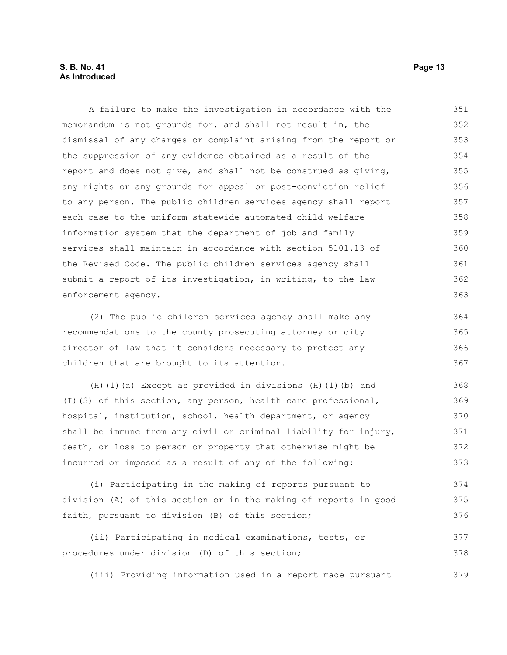#### **S. B. No. 41 Page 13 As Introduced**

A failure to make the investigation in accordance with the memorandum is not grounds for, and shall not result in, the dismissal of any charges or complaint arising from the report or the suppression of any evidence obtained as a result of the report and does not give, and shall not be construed as giving, any rights or any grounds for appeal or post-conviction relief to any person. The public children services agency shall report each case to the uniform statewide automated child welfare information system that the department of job and family services shall maintain in accordance with section 5101.13 of the Revised Code. The public children services agency shall submit a report of its investigation, in writing, to the law enforcement agency. 351 352 353 354 355 356 357 358 359 360 361 362 363

(2) The public children services agency shall make any recommendations to the county prosecuting attorney or city director of law that it considers necessary to protect any children that are brought to its attention. 364 365 366 367

(H)(1)(a) Except as provided in divisions (H)(1)(b) and (I)(3) of this section, any person, health care professional, hospital, institution, school, health department, or agency shall be immune from any civil or criminal liability for injury, death, or loss to person or property that otherwise might be incurred or imposed as a result of any of the following: 368 369 370 371 372 373

(i) Participating in the making of reports pursuant to division (A) of this section or in the making of reports in good faith, pursuant to division (B) of this section; 374 375 376

(ii) Participating in medical examinations, tests, or procedures under division (D) of this section; 377 378

(iii) Providing information used in a report made pursuant 379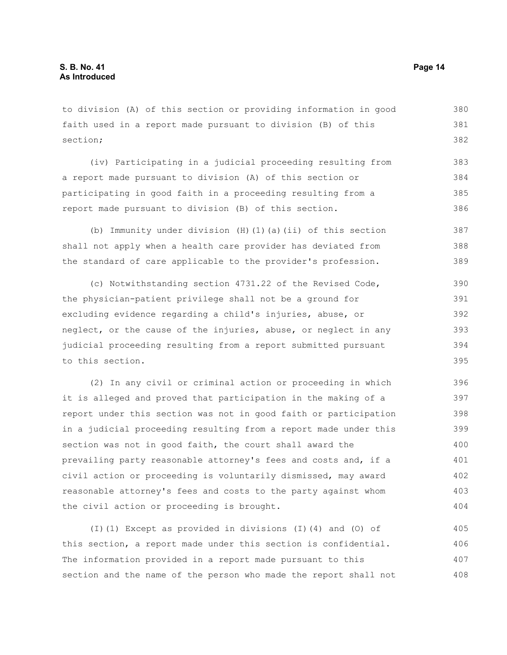to division (A) of this section or providing information in good faith used in a report made pursuant to division (B) of this section;

(iv) Participating in a judicial proceeding resulting from a report made pursuant to division (A) of this section or participating in good faith in a proceeding resulting from a report made pursuant to division (B) of this section. 383 384 385 386

(b) Immunity under division (H)(1)(a)(ii) of this section shall not apply when a health care provider has deviated from the standard of care applicable to the provider's profession. 387 388 389

(c) Notwithstanding section 4731.22 of the Revised Code, the physician-patient privilege shall not be a ground for excluding evidence regarding a child's injuries, abuse, or neglect, or the cause of the injuries, abuse, or neglect in any judicial proceeding resulting from a report submitted pursuant to this section. 390 391 392 393 394 395

(2) In any civil or criminal action or proceeding in which it is alleged and proved that participation in the making of a report under this section was not in good faith or participation in a judicial proceeding resulting from a report made under this section was not in good faith, the court shall award the prevailing party reasonable attorney's fees and costs and, if a civil action or proceeding is voluntarily dismissed, may award reasonable attorney's fees and costs to the party against whom the civil action or proceeding is brought. 396 397 398 399 400 401 402 403 404

(I)(1) Except as provided in divisions (I)(4) and (O) of this section, a report made under this section is confidential. The information provided in a report made pursuant to this section and the name of the person who made the report shall not 405 406 407 408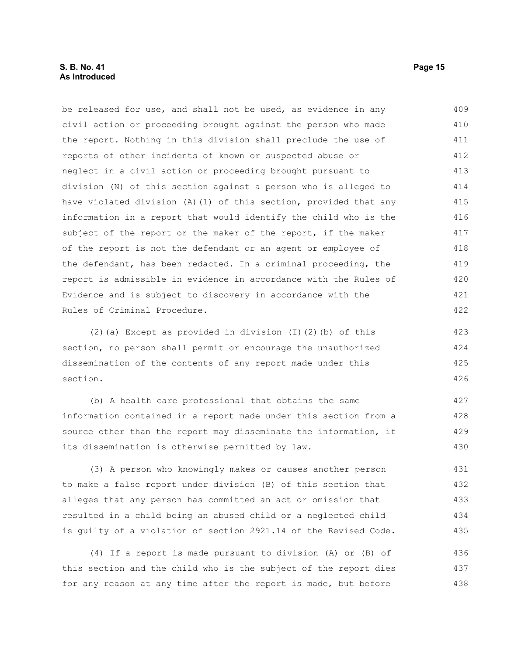#### **S. B. No. 41 Page 15 As Introduced**

be released for use, and shall not be used, as evidence in any civil action or proceeding brought against the person who made the report. Nothing in this division shall preclude the use of reports of other incidents of known or suspected abuse or neglect in a civil action or proceeding brought pursuant to division (N) of this section against a person who is alleged to have violated division (A)(1) of this section, provided that any information in a report that would identify the child who is the subject of the report or the maker of the report, if the maker of the report is not the defendant or an agent or employee of the defendant, has been redacted. In a criminal proceeding, the report is admissible in evidence in accordance with the Rules of Evidence and is subject to discovery in accordance with the Rules of Criminal Procedure. 409 410 411 412 413 414 415 416 417 418 419 420 421 422

(2)(a) Except as provided in division (I)(2)(b) of this section, no person shall permit or encourage the unauthorized dissemination of the contents of any report made under this section.

(b) A health care professional that obtains the same information contained in a report made under this section from a source other than the report may disseminate the information, if its dissemination is otherwise permitted by law. 427 428 429 430

(3) A person who knowingly makes or causes another person to make a false report under division (B) of this section that alleges that any person has committed an act or omission that resulted in a child being an abused child or a neglected child is guilty of a violation of section 2921.14 of the Revised Code. 431 432 433 434 435

(4) If a report is made pursuant to division (A) or (B) of this section and the child who is the subject of the report dies for any reason at any time after the report is made, but before 436 437 438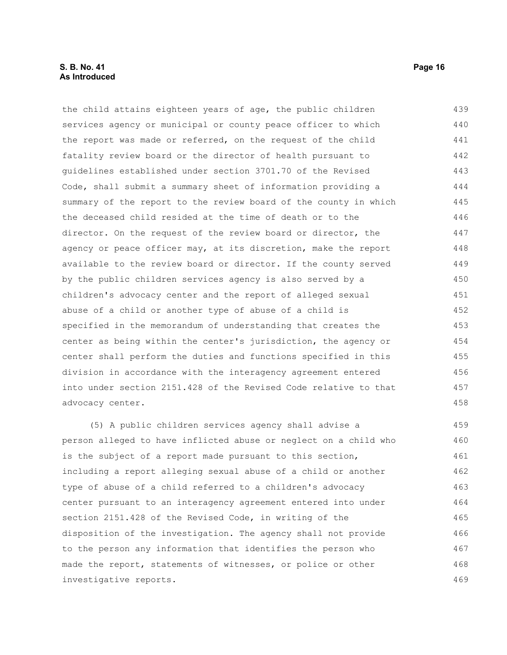#### **S. B. No. 41 Page 16 As Introduced**

the child attains eighteen years of age, the public children services agency or municipal or county peace officer to which the report was made or referred, on the request of the child fatality review board or the director of health pursuant to guidelines established under section 3701.70 of the Revised Code, shall submit a summary sheet of information providing a summary of the report to the review board of the county in which the deceased child resided at the time of death or to the director. On the request of the review board or director, the agency or peace officer may, at its discretion, make the report available to the review board or director. If the county served by the public children services agency is also served by a children's advocacy center and the report of alleged sexual abuse of a child or another type of abuse of a child is specified in the memorandum of understanding that creates the center as being within the center's jurisdiction, the agency or center shall perform the duties and functions specified in this division in accordance with the interagency agreement entered into under section 2151.428 of the Revised Code relative to that advocacy center. 439 440 441 442 443 444 445 446 447 448 449 450 451 452 453 454 455 456 457 458

(5) A public children services agency shall advise a person alleged to have inflicted abuse or neglect on a child who is the subject of a report made pursuant to this section, including a report alleging sexual abuse of a child or another type of abuse of a child referred to a children's advocacy center pursuant to an interagency agreement entered into under section 2151.428 of the Revised Code, in writing of the disposition of the investigation. The agency shall not provide to the person any information that identifies the person who made the report, statements of witnesses, or police or other investigative reports. 459 460 461 462 463 464 465 466 467 468 469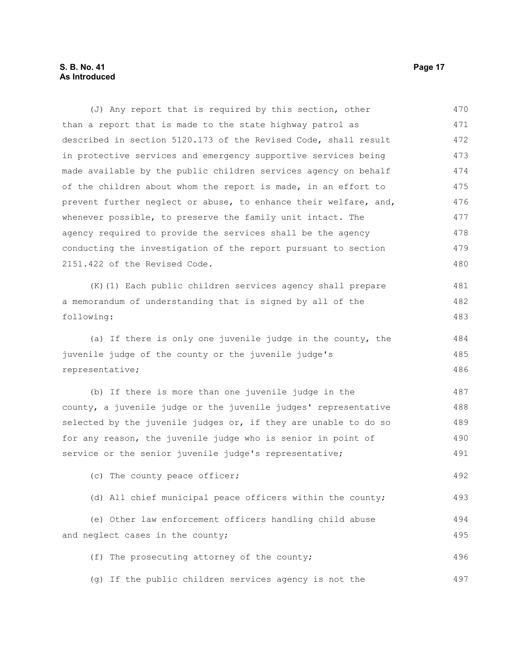## **S. B. No. 41 Page 17 As Introduced**

| (J) Any report that is required by this section, other           | 470 |
|------------------------------------------------------------------|-----|
| than a report that is made to the state highway patrol as        | 471 |
| described in section 5120.173 of the Revised Code, shall result  | 472 |
| in protective services and emergency supportive services being   | 473 |
| made available by the public children services agency on behalf  | 474 |
| of the children about whom the report is made, in an effort to   | 475 |
| prevent further neglect or abuse, to enhance their welfare, and, | 476 |
| whenever possible, to preserve the family unit intact. The       | 477 |
| agency required to provide the services shall be the agency      | 478 |
| conducting the investigation of the report pursuant to section   | 479 |
| 2151.422 of the Revised Code.                                    | 480 |
| (K) (1) Each public children services agency shall prepare       | 481 |
| a memorandum of understanding that is signed by all of the       | 482 |
| following:                                                       | 483 |
| (a) If there is only one juvenile judge in the county, the       | 484 |
| juvenile judge of the county or the juvenile judge's             | 485 |
| representative;                                                  | 486 |
| (b) If there is more than one juvenile judge in the              | 487 |
| county, a juvenile judge or the juvenile judges' representative  | 488 |
| selected by the juvenile judges or, if they are unable to do so  | 489 |
| for any reason, the juvenile judge who is senior in point of     | 490 |
| service or the senior juvenile judge's representative;           | 491 |
| (c) The county peace officer;                                    | 492 |
| (d) All chief municipal peace officers within the county;        | 493 |
| (e) Other law enforcement officers handling child abuse          | 494 |
| and neglect cases in the county;                                 | 495 |
| (f) The prosecuting attorney of the county;                      | 496 |
| (g) If the public children services agency is not the            | 497 |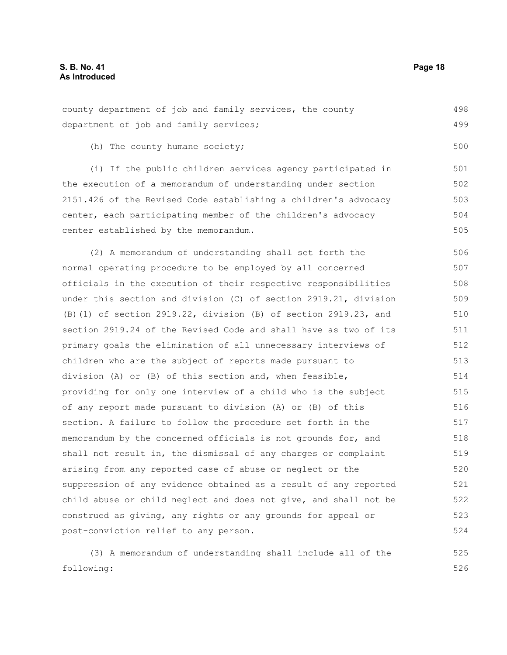| county department of job and family services, the county         | 498 |
|------------------------------------------------------------------|-----|
| department of job and family services;                           | 499 |
| (h) The county humane society;                                   | 500 |
| (i) If the public children services agency participated in       | 501 |
| the execution of a memorandum of understanding under section     | 502 |
| 2151.426 of the Revised Code establishing a children's advocacy  | 503 |
| center, each participating member of the children's advocacy     | 504 |
| center established by the memorandum.                            | 505 |
| (2) A memorandum of understanding shall set forth the            | 506 |
| normal operating procedure to be employed by all concerned       | 507 |
| officials in the execution of their respective responsibilities  | 508 |
| under this section and division (C) of section 2919.21, division | 509 |
| (B) (1) of section 2919.22, division (B) of section 2919.23, and | 510 |
| section 2919.24 of the Revised Code and shall have as two of its | 511 |
| primary goals the elimination of all unnecessary interviews of   | 512 |
| children who are the subject of reports made pursuant to         | 513 |
| division (A) or (B) of this section and, when feasible,          | 514 |
| providing for only one interview of a child who is the subject   | 515 |
| of any report made pursuant to division (A) or (B) of this       | 516 |
| section. A failure to follow the procedure set forth in the      | 517 |
| memorandum by the concerned officials is not grounds for, and    | 518 |
| shall not result in, the dismissal of any charges or complaint   | 519 |
| arising from any reported case of abuse or neglect or the        | 520 |
| suppression of any evidence obtained as a result of any reported | 521 |
| child abuse or child neglect and does not give, and shall not be | 522 |
| construed as giving, any rights or any grounds for appeal or     | 523 |
| post-conviction relief to any person.                            | 524 |

(3) A memorandum of understanding shall include all of the following: 525 526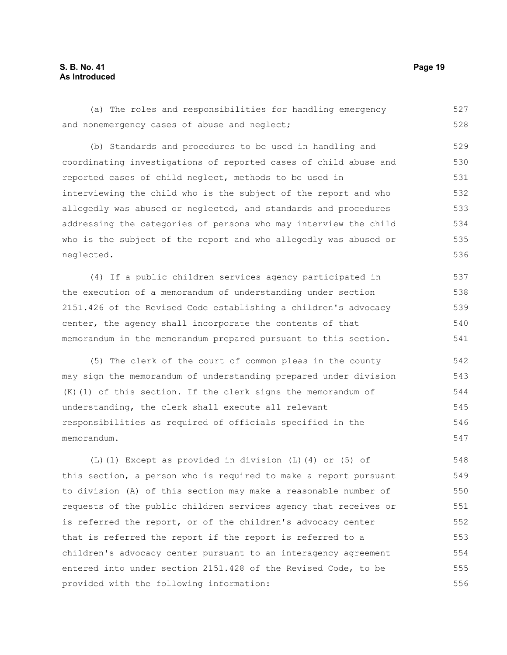#### **S. B. No. 41 Page 19 As Introduced**

(a) The roles and responsibilities for handling emergency and nonemergency cases of abuse and neglect; (b) Standards and procedures to be used in handling and coordinating investigations of reported cases of child abuse and reported cases of child neglect, methods to be used in interviewing the child who is the subject of the report and who allegedly was abused or neglected, and standards and procedures addressing the categories of persons who may interview the child who is the subject of the report and who allegedly was abused or neglected. (4) If a public children services agency participated in 527 528 529 530 531 532 533 534 535 536 537 538

the execution of a memorandum of understanding under section 2151.426 of the Revised Code establishing a children's advocacy center, the agency shall incorporate the contents of that memorandum in the memorandum prepared pursuant to this section. 539 540 541

(5) The clerk of the court of common pleas in the county may sign the memorandum of understanding prepared under division (K)(1) of this section. If the clerk signs the memorandum of understanding, the clerk shall execute all relevant responsibilities as required of officials specified in the memorandum. 542 543 544 545 546 547

(L)(1) Except as provided in division (L)(4) or (5) of this section, a person who is required to make a report pursuant to division (A) of this section may make a reasonable number of requests of the public children services agency that receives or is referred the report, or of the children's advocacy center that is referred the report if the report is referred to a children's advocacy center pursuant to an interagency agreement entered into under section 2151.428 of the Revised Code, to be provided with the following information: 548 549 550 551 552 553 554 555 556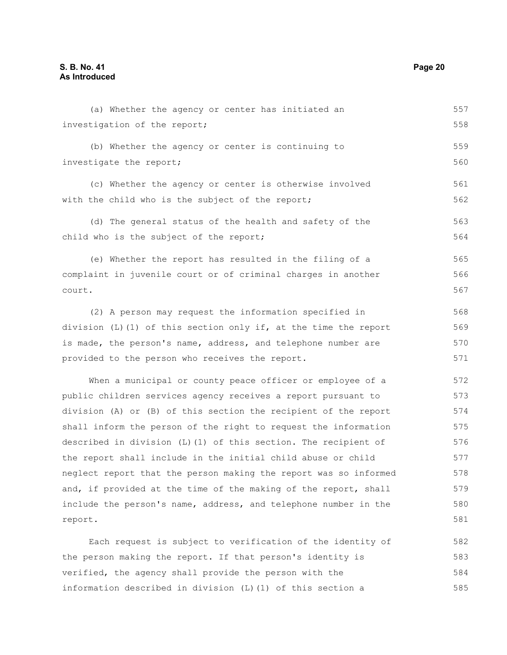investigation of the report;

(b) Whether the agency or center is continuing to investigate the report; (c) Whether the agency or center is otherwise involved with the child who is the subject of the report; (d) The general status of the health and safety of the child who is the subject of the report; (e) Whether the report has resulted in the filing of a complaint in juvenile court or of criminal charges in another court. (2) A person may request the information specified in division (L)(1) of this section only if, at the time the report is made, the person's name, address, and telephone number are provided to the person who receives the report. When a municipal or county peace officer or employee of a public children services agency receives a report pursuant to division (A) or (B) of this section the recipient of the report shall inform the person of the right to request the information described in division (L)(1) of this section. The recipient of the report shall include in the initial child abuse or child neglect report that the person making the report was so informed and, if provided at the time of the making of the report, shall include the person's name, address, and telephone number in the report. Each request is subject to verification of the identity of the person making the report. If that person's identity is verified, the agency shall provide the person with the information described in division (L)(1) of this section a 559 560 561 562 563 564 565 566 567 568 569 570 571 572 573 574 575 576 577 578 579 580 581 582 583 584 585

(a) Whether the agency or center has initiated an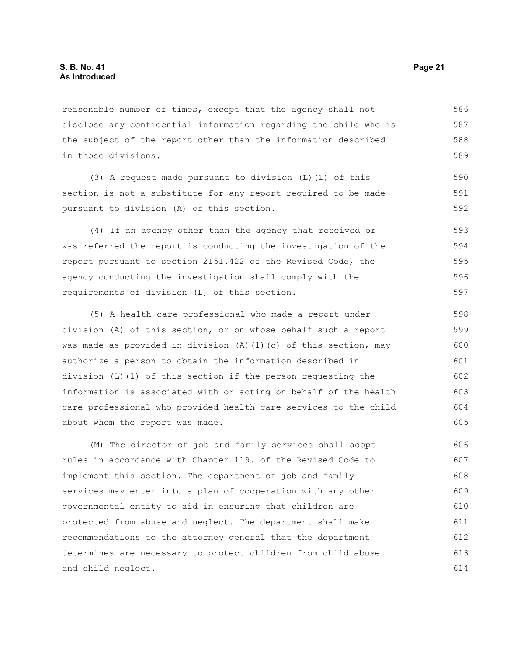reasonable number of times, except that the agency shall not disclose any confidential information regarding the child who is the subject of the report other than the information described in those divisions. 586 587 588 589

(3) A request made pursuant to division (L)(1) of this section is not a substitute for any report required to be made pursuant to division (A) of this section.

(4) If an agency other than the agency that received or was referred the report is conducting the investigation of the report pursuant to section 2151.422 of the Revised Code, the agency conducting the investigation shall comply with the requirements of division (L) of this section. 593 594 595 596 597

(5) A health care professional who made a report under division (A) of this section, or on whose behalf such a report was made as provided in division  $(A)$  (1)(c) of this section, may authorize a person to obtain the information described in division (L)(1) of this section if the person requesting the information is associated with or acting on behalf of the health care professional who provided health care services to the child about whom the report was made.

(M) The director of job and family services shall adopt rules in accordance with Chapter 119. of the Revised Code to implement this section. The department of job and family services may enter into a plan of cooperation with any other governmental entity to aid in ensuring that children are protected from abuse and neglect. The department shall make recommendations to the attorney general that the department determines are necessary to protect children from child abuse and child neglect. 606 607 608 609 610 611 612 613 614

590 591 592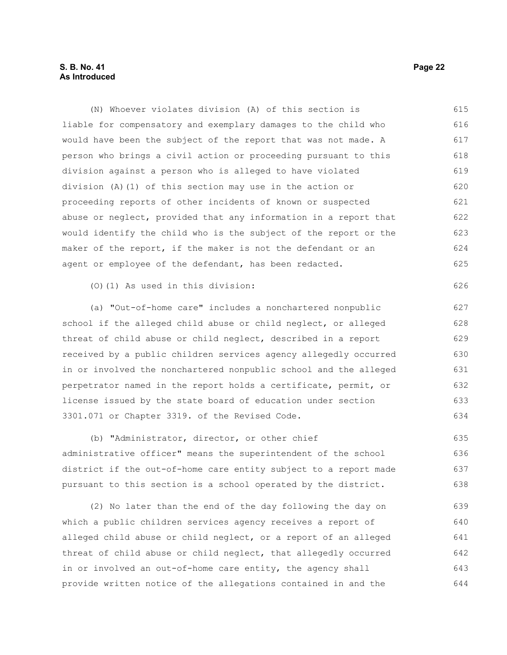#### **S. B. No. 41 Page 22 As Introduced**

(N) Whoever violates division (A) of this section is liable for compensatory and exemplary damages to the child who would have been the subject of the report that was not made. A person who brings a civil action or proceeding pursuant to this division against a person who is alleged to have violated division (A)(1) of this section may use in the action or proceeding reports of other incidents of known or suspected abuse or neglect, provided that any information in a report that would identify the child who is the subject of the report or the maker of the report, if the maker is not the defendant or an agent or employee of the defendant, has been redacted. (O)(1) As used in this division: (a) "Out-of-home care" includes a nonchartered nonpublic school if the alleged child abuse or child neglect, or alleged threat of child abuse or child neglect, described in a report received by a public children services agency allegedly occurred in or involved the nonchartered nonpublic school and the alleged perpetrator named in the report holds a certificate, permit, or license issued by the state board of education under section 3301.071 or Chapter 3319. of the Revised Code. (b) "Administrator, director, or other chief administrative officer" means the superintendent of the school 615 616 617 618 619 620 621 622 623 624 625 626 627 628 629 630 631 632 633 634 635 636

district if the out-of-home care entity subject to a report made pursuant to this section is a school operated by the district. 637 638

(2) No later than the end of the day following the day on which a public children services agency receives a report of alleged child abuse or child neglect, or a report of an alleged threat of child abuse or child neglect, that allegedly occurred in or involved an out-of-home care entity, the agency shall provide written notice of the allegations contained in and the 639 640 641 642 643 644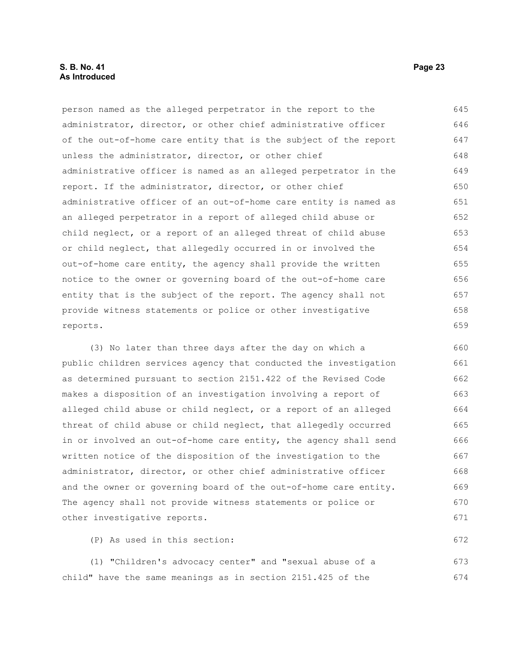#### **S. B. No. 41 Page 23 As Introduced**

person named as the alleged perpetrator in the report to the administrator, director, or other chief administrative officer of the out-of-home care entity that is the subject of the report unless the administrator, director, or other chief administrative officer is named as an alleged perpetrator in the report. If the administrator, director, or other chief administrative officer of an out-of-home care entity is named as an alleged perpetrator in a report of alleged child abuse or child neglect, or a report of an alleged threat of child abuse or child neglect, that allegedly occurred in or involved the out-of-home care entity, the agency shall provide the written notice to the owner or governing board of the out-of-home care entity that is the subject of the report. The agency shall not provide witness statements or police or other investigative reports. 645 646 647 648 649 650 651 652 653 654 655 656 657 658 659

(3) No later than three days after the day on which a public children services agency that conducted the investigation as determined pursuant to section 2151.422 of the Revised Code makes a disposition of an investigation involving a report of alleged child abuse or child neglect, or a report of an alleged threat of child abuse or child neglect, that allegedly occurred in or involved an out-of-home care entity, the agency shall send written notice of the disposition of the investigation to the administrator, director, or other chief administrative officer and the owner or governing board of the out-of-home care entity. The agency shall not provide witness statements or police or other investigative reports. 660 661 662 663 664 665 666 667 668 669 670 671

(P) As used in this section:

(1) "Children's advocacy center" and "sexual abuse of a child" have the same meanings as in section 2151.425 of the 673 674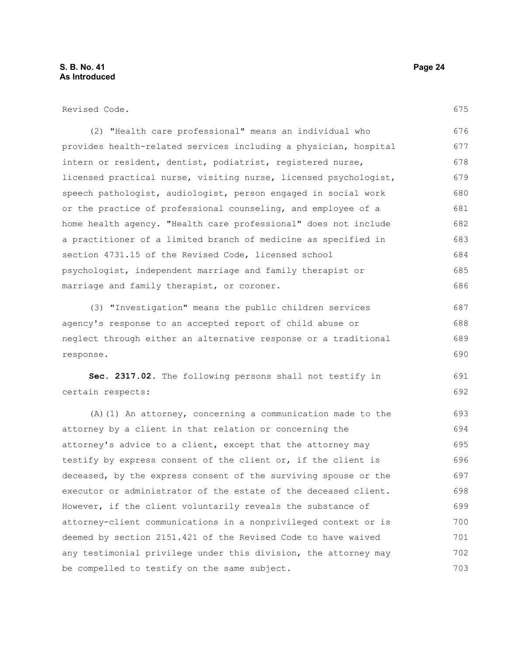675

(2) "Health care professional" means an individual who provides health-related services including a physician, hospital intern or resident, dentist, podiatrist, registered nurse, licensed practical nurse, visiting nurse, licensed psychologist, speech pathologist, audiologist, person engaged in social work or the practice of professional counseling, and employee of a home health agency. "Health care professional" does not include a practitioner of a limited branch of medicine as specified in section 4731.15 of the Revised Code, licensed school psychologist, independent marriage and family therapist or marriage and family therapist, or coroner. 676 677 678 679 680 681 682 683 684 685 686

(3) "Investigation" means the public children services agency's response to an accepted report of child abuse or neglect through either an alternative response or a traditional response. 687 688 689 690

**Sec. 2317.02.** The following persons shall not testify in certain respects: 691 692

(A)(1) An attorney, concerning a communication made to the attorney by a client in that relation or concerning the attorney's advice to a client, except that the attorney may testify by express consent of the client or, if the client is deceased, by the express consent of the surviving spouse or the executor or administrator of the estate of the deceased client. However, if the client voluntarily reveals the substance of attorney-client communications in a nonprivileged context or is deemed by section 2151.421 of the Revised Code to have waived any testimonial privilege under this division, the attorney may be compelled to testify on the same subject. 693 694 695 696 697 698 699 700 701 702 703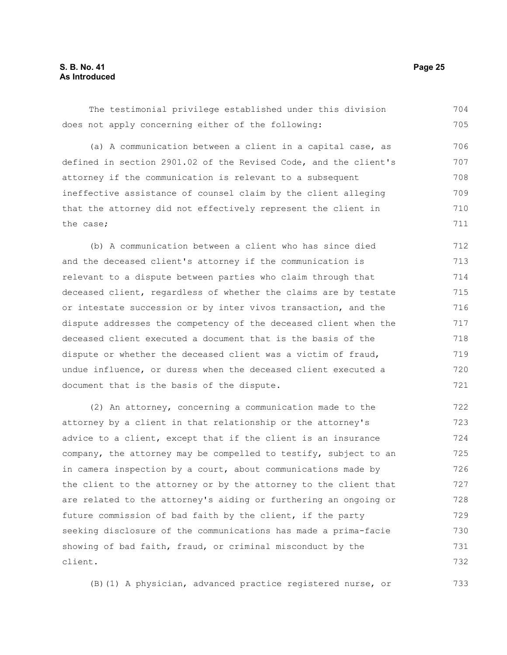#### **S. B. No. 41 Page 25 As Introduced**

The testimonial privilege established under this division does not apply concerning either of the following: (a) A communication between a client in a capital case, as defined in section 2901.02 of the Revised Code, and the client's attorney if the communication is relevant to a subsequent ineffective assistance of counsel claim by the client alleging that the attorney did not effectively represent the client in the case; (b) A communication between a client who has since died and the deceased client's attorney if the communication is relevant to a dispute between parties who claim through that deceased client, regardless of whether the claims are by testate or intestate succession or by inter vivos transaction, and the dispute addresses the competency of the deceased client when the 704 705 706 707 708 709 710 711 712 713 714 715 716 717

deceased client executed a document that is the basis of the dispute or whether the deceased client was a victim of fraud, undue influence, or duress when the deceased client executed a document that is the basis of the dispute. 718 719 720 721

(2) An attorney, concerning a communication made to the attorney by a client in that relationship or the attorney's advice to a client, except that if the client is an insurance company, the attorney may be compelled to testify, subject to an in camera inspection by a court, about communications made by the client to the attorney or by the attorney to the client that are related to the attorney's aiding or furthering an ongoing or future commission of bad faith by the client, if the party seeking disclosure of the communications has made a prima-facie showing of bad faith, fraud, or criminal misconduct by the client. 722 723 724 725 726 727 728 729 730 731 732

(B)(1) A physician, advanced practice registered nurse, or 733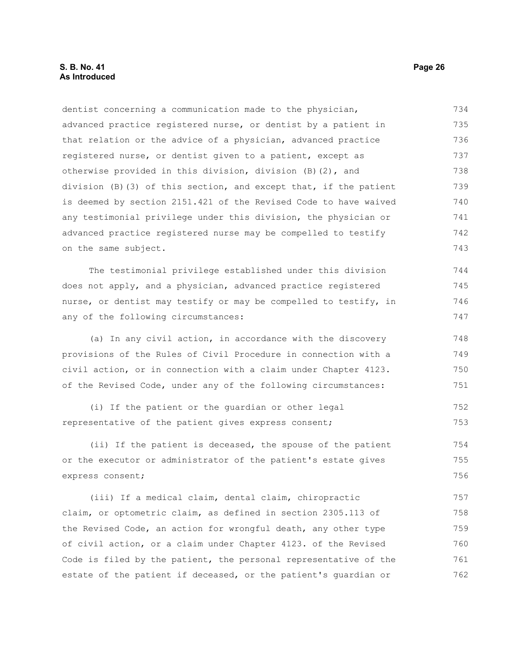#### **S. B. No. 41 Page 26 As Introduced**

dentist concerning a communication made to the physician, advanced practice registered nurse, or dentist by a patient in that relation or the advice of a physician, advanced practice registered nurse, or dentist given to a patient, except as otherwise provided in this division, division (B)(2), and division (B)(3) of this section, and except that, if the patient is deemed by section 2151.421 of the Revised Code to have waived any testimonial privilege under this division, the physician or advanced practice registered nurse may be compelled to testify on the same subject. 734 735 736 737 738 739 740 741 742 743

The testimonial privilege established under this division does not apply, and a physician, advanced practice registered nurse, or dentist may testify or may be compelled to testify, in any of the following circumstances:

(a) In any civil action, in accordance with the discovery provisions of the Rules of Civil Procedure in connection with a civil action, or in connection with a claim under Chapter 4123. of the Revised Code, under any of the following circumstances: 748 749 750 751

(i) If the patient or the guardian or other legal representative of the patient gives express consent; 752 753

(ii) If the patient is deceased, the spouse of the patient or the executor or administrator of the patient's estate gives express consent; 754 755 756

(iii) If a medical claim, dental claim, chiropractic claim, or optometric claim, as defined in section 2305.113 of the Revised Code, an action for wrongful death, any other type of civil action, or a claim under Chapter 4123. of the Revised Code is filed by the patient, the personal representative of the estate of the patient if deceased, or the patient's guardian or 757 758 759 760 761 762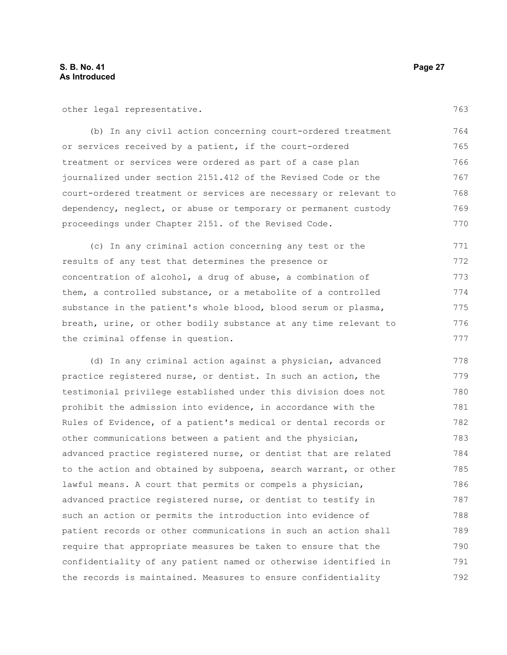other legal representative.

(b) In any civil action concerning court-ordered treatment or services received by a patient, if the court-ordered treatment or services were ordered as part of a case plan journalized under section 2151.412 of the Revised Code or the court-ordered treatment or services are necessary or relevant to dependency, neglect, or abuse or temporary or permanent custody proceedings under Chapter 2151. of the Revised Code. 764 765 766 767 768 769 770

(c) In any criminal action concerning any test or the results of any test that determines the presence or concentration of alcohol, a drug of abuse, a combination of them, a controlled substance, or a metabolite of a controlled substance in the patient's whole blood, blood serum or plasma, breath, urine, or other bodily substance at any time relevant to the criminal offense in question. 771 772 773 774 775 776 777

(d) In any criminal action against a physician, advanced practice registered nurse, or dentist. In such an action, the testimonial privilege established under this division does not prohibit the admission into evidence, in accordance with the Rules of Evidence, of a patient's medical or dental records or other communications between a patient and the physician, advanced practice registered nurse, or dentist that are related to the action and obtained by subpoena, search warrant, or other lawful means. A court that permits or compels a physician, advanced practice registered nurse, or dentist to testify in such an action or permits the introduction into evidence of patient records or other communications in such an action shall require that appropriate measures be taken to ensure that the confidentiality of any patient named or otherwise identified in the records is maintained. Measures to ensure confidentiality 778 779 780 781 782 783 784 785 786 787 788 789 790 791 792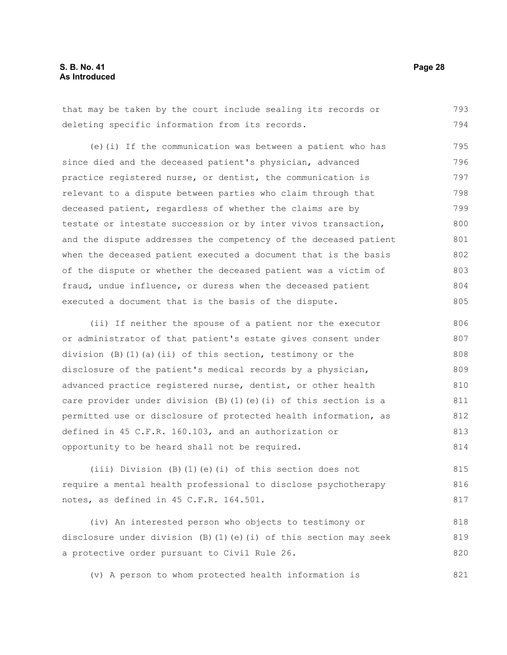#### **S. B. No. 41 Page 28 As Introduced**

that may be taken by the court include sealing its records or deleting specific information from its records. 793 794

(e)(i) If the communication was between a patient who has since died and the deceased patient's physician, advanced practice registered nurse, or dentist, the communication is relevant to a dispute between parties who claim through that deceased patient, regardless of whether the claims are by testate or intestate succession or by inter vivos transaction, and the dispute addresses the competency of the deceased patient when the deceased patient executed a document that is the basis of the dispute or whether the deceased patient was a victim of fraud, undue influence, or duress when the deceased patient executed a document that is the basis of the dispute. 795 796 797 798 799 800 801 802 803 804 805

(ii) If neither the spouse of a patient nor the executor or administrator of that patient's estate gives consent under division (B)(1)(a)(ii) of this section, testimony or the disclosure of the patient's medical records by a physician, advanced practice registered nurse, dentist, or other health care provider under division (B)(1)(e)(i) of this section is a permitted use or disclosure of protected health information, as defined in 45 C.F.R. 160.103, and an authorization or opportunity to be heard shall not be required. 806 807 808 809 810 811 812 813 814

(iii) Division (B)(1)(e)(i) of this section does not require a mental health professional to disclose psychotherapy notes, as defined in 45 C.F.R. 164.501. 815 816 817

(iv) An interested person who objects to testimony or disclosure under division (B)(1)(e)(i) of this section may seek a protective order pursuant to Civil Rule 26. 818 819 820

(v) A person to whom protected health information is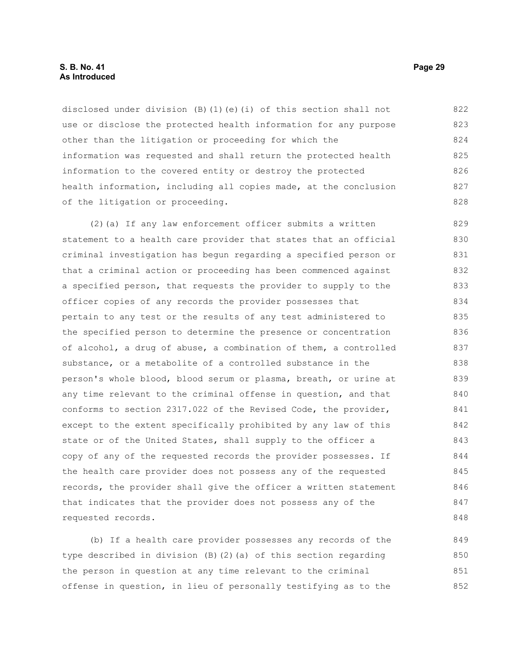#### **S. B. No. 41 Page 29 As Introduced**

disclosed under division (B)(1)(e)(i) of this section shall not use or disclose the protected health information for any purpose other than the litigation or proceeding for which the information was requested and shall return the protected health information to the covered entity or destroy the protected health information, including all copies made, at the conclusion of the litigation or proceeding. 822 823 824 825 826 827 828

(2)(a) If any law enforcement officer submits a written statement to a health care provider that states that an official criminal investigation has begun regarding a specified person or that a criminal action or proceeding has been commenced against a specified person, that requests the provider to supply to the officer copies of any records the provider possesses that pertain to any test or the results of any test administered to the specified person to determine the presence or concentration of alcohol, a drug of abuse, a combination of them, a controlled substance, or a metabolite of a controlled substance in the person's whole blood, blood serum or plasma, breath, or urine at any time relevant to the criminal offense in question, and that conforms to section 2317.022 of the Revised Code, the provider, except to the extent specifically prohibited by any law of this state or of the United States, shall supply to the officer a copy of any of the requested records the provider possesses. If the health care provider does not possess any of the requested records, the provider shall give the officer a written statement that indicates that the provider does not possess any of the requested records. 829 830 831 832 833 834 835 836 837 838 839 840 841 842 843 844 845 846 847 848

(b) If a health care provider possesses any records of the type described in division (B)(2)(a) of this section regarding the person in question at any time relevant to the criminal offense in question, in lieu of personally testifying as to the 849 850 851 852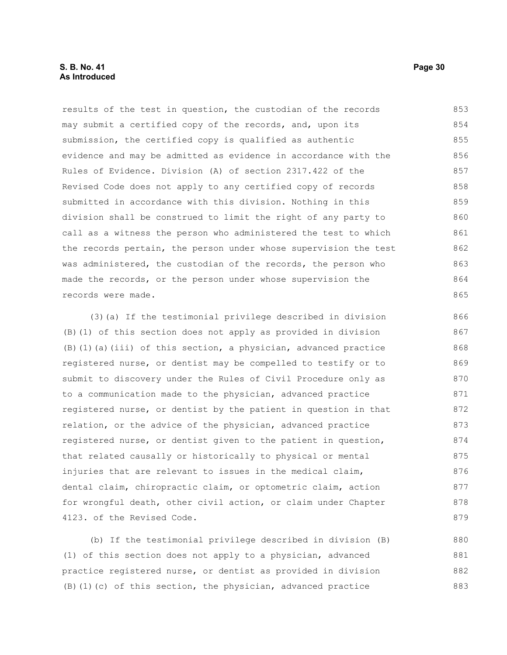#### **S. B. No. 41 Page 30 As Introduced**

results of the test in question, the custodian of the records may submit a certified copy of the records, and, upon its submission, the certified copy is qualified as authentic evidence and may be admitted as evidence in accordance with the Rules of Evidence. Division (A) of section 2317.422 of the Revised Code does not apply to any certified copy of records submitted in accordance with this division. Nothing in this division shall be construed to limit the right of any party to call as a witness the person who administered the test to which the records pertain, the person under whose supervision the test was administered, the custodian of the records, the person who made the records, or the person under whose supervision the records were made. 853 854 855 856 857 858 859 860 861 862 863 864 865

(3)(a) If the testimonial privilege described in division (B)(1) of this section does not apply as provided in division (B)(1)(a)(iii) of this section, a physician, advanced practice registered nurse, or dentist may be compelled to testify or to submit to discovery under the Rules of Civil Procedure only as to a communication made to the physician, advanced practice registered nurse, or dentist by the patient in question in that relation, or the advice of the physician, advanced practice registered nurse, or dentist given to the patient in question, that related causally or historically to physical or mental injuries that are relevant to issues in the medical claim, dental claim, chiropractic claim, or optometric claim, action for wrongful death, other civil action, or claim under Chapter 4123. of the Revised Code. 866 867 868 869 870 871 872 873 874 875 876 877 878 879

(b) If the testimonial privilege described in division (B) (1) of this section does not apply to a physician, advanced practice registered nurse, or dentist as provided in division (B)(1)(c) of this section, the physician, advanced practice 880 881 882 883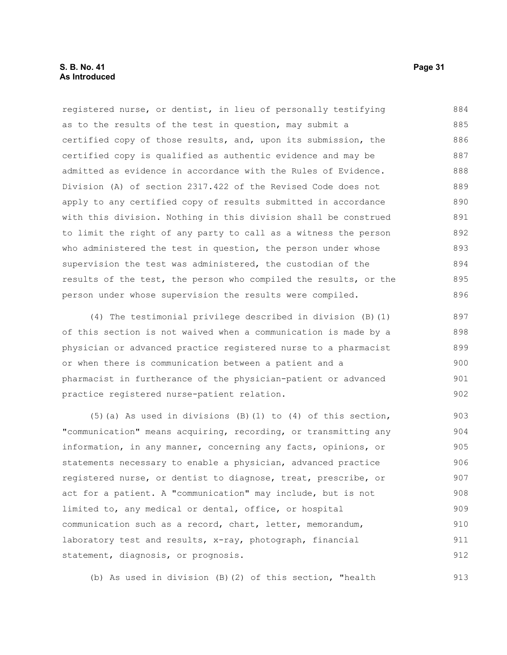#### **S. B. No. 41 Page 31 As Introduced**

registered nurse, or dentist, in lieu of personally testifying as to the results of the test in question, may submit a certified copy of those results, and, upon its submission, the certified copy is qualified as authentic evidence and may be admitted as evidence in accordance with the Rules of Evidence. Division (A) of section 2317.422 of the Revised Code does not apply to any certified copy of results submitted in accordance with this division. Nothing in this division shall be construed to limit the right of any party to call as a witness the person who administered the test in question, the person under whose supervision the test was administered, the custodian of the results of the test, the person who compiled the results, or the person under whose supervision the results were compiled. 884 885 886 887 888 889 890 891 892 893 894 895 896

(4) The testimonial privilege described in division (B)(1) of this section is not waived when a communication is made by a physician or advanced practice registered nurse to a pharmacist or when there is communication between a patient and a pharmacist in furtherance of the physician-patient or advanced practice registered nurse-patient relation. 897 898 899 900 901 902

(5)(a) As used in divisions (B)(1) to (4) of this section, "communication" means acquiring, recording, or transmitting any information, in any manner, concerning any facts, opinions, or statements necessary to enable a physician, advanced practice registered nurse, or dentist to diagnose, treat, prescribe, or act for a patient. A "communication" may include, but is not limited to, any medical or dental, office, or hospital communication such as a record, chart, letter, memorandum, laboratory test and results, x-ray, photograph, financial statement, diagnosis, or prognosis. 903 904 905 906 907 908 909 910 911 912

(b) As used in division (B)(2) of this section, "health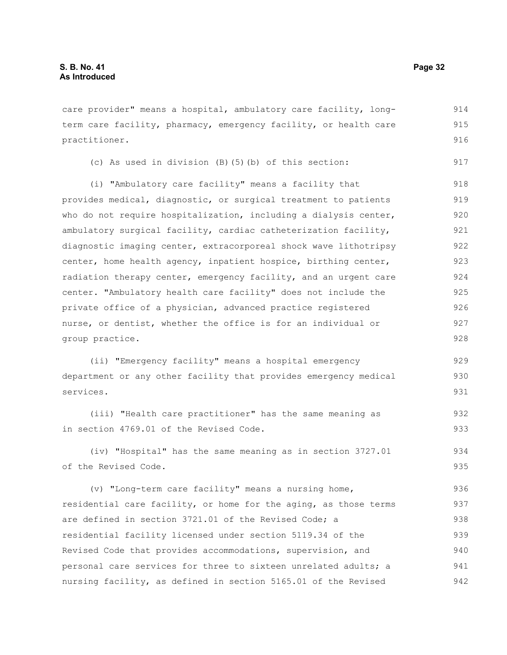care provider" means a hospital, ambulatory care facility, longterm care facility, pharmacy, emergency facility, or health care practitioner. 914 915 916

(c) As used in division (B)(5)(b) of this section: 917

(i) "Ambulatory care facility" means a facility that provides medical, diagnostic, or surgical treatment to patients who do not require hospitalization, including a dialysis center, ambulatory surgical facility, cardiac catheterization facility, diagnostic imaging center, extracorporeal shock wave lithotripsy center, home health agency, inpatient hospice, birthing center, radiation therapy center, emergency facility, and an urgent care center. "Ambulatory health care facility" does not include the private office of a physician, advanced practice registered nurse, or dentist, whether the office is for an individual or group practice. 918 919 920 921 922 923 924 925 926 927 928

(ii) "Emergency facility" means a hospital emergency department or any other facility that provides emergency medical services. 929 930 931

(iii) "Health care practitioner" has the same meaning as in section 4769.01 of the Revised Code. 932 933

(iv) "Hospital" has the same meaning as in section 3727.01 of the Revised Code.

(v) "Long-term care facility" means a nursing home, residential care facility, or home for the aging, as those terms are defined in section 3721.01 of the Revised Code; a residential facility licensed under section 5119.34 of the Revised Code that provides accommodations, supervision, and personal care services for three to sixteen unrelated adults; a nursing facility, as defined in section 5165.01 of the Revised 936 937 938 939 940 941 942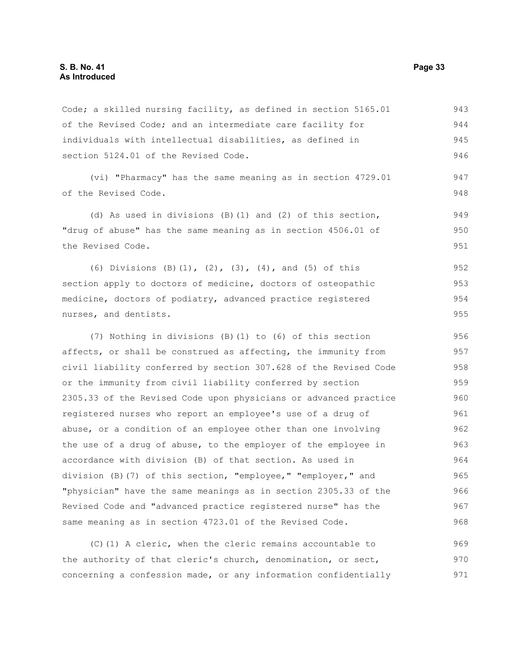Code; a skilled nursing facility, as defined in section 5165.01 of the Revised Code; and an intermediate care facility for individuals with intellectual disabilities, as defined in section 5124.01 of the Revised Code. 943 944 945 946

(vi) "Pharmacy" has the same meaning as in section 4729.01 of the Revised Code.

(d) As used in divisions (B)(1) and (2) of this section, "drug of abuse" has the same meaning as in section 4506.01 of the Revised Code. 949 950 951

(6) Divisions (B)(1), (2), (3), (4), and (5) of this section apply to doctors of medicine, doctors of osteopathic medicine, doctors of podiatry, advanced practice registered nurses, and dentists. 952 953 954 955

(7) Nothing in divisions (B)(1) to (6) of this section affects, or shall be construed as affecting, the immunity from civil liability conferred by section 307.628 of the Revised Code or the immunity from civil liability conferred by section 2305.33 of the Revised Code upon physicians or advanced practice registered nurses who report an employee's use of a drug of abuse, or a condition of an employee other than one involving the use of a drug of abuse, to the employer of the employee in accordance with division (B) of that section. As used in division (B)(7) of this section, "employee," "employer," and "physician" have the same meanings as in section 2305.33 of the Revised Code and "advanced practice registered nurse" has the same meaning as in section 4723.01 of the Revised Code. 956 957 958 959 960 961 962 963 964 965 966 967 968

(C)(1) A cleric, when the cleric remains accountable to the authority of that cleric's church, denomination, or sect, concerning a confession made, or any information confidentially 969 970 971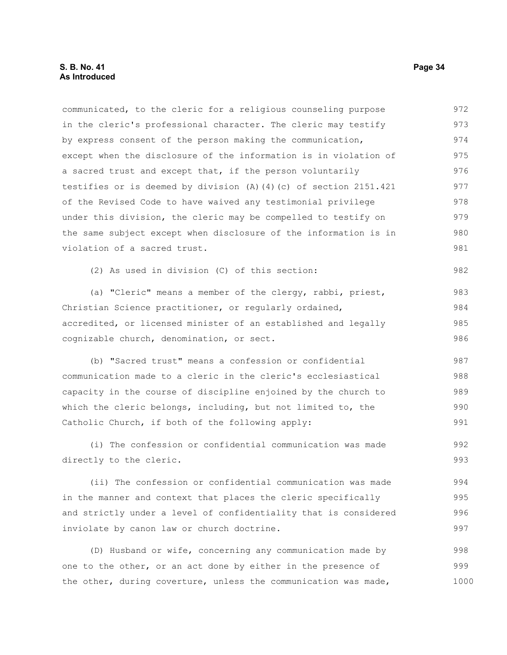communicated, to the cleric for a religious counseling purpose in the cleric's professional character. The cleric may testify by express consent of the person making the communication, except when the disclosure of the information is in violation of a sacred trust and except that, if the person voluntarily testifies or is deemed by division (A)(4)(c) of section 2151.421 of the Revised Code to have waived any testimonial privilege under this division, the cleric may be compelled to testify on the same subject except when disclosure of the information is in violation of a sacred trust. (2) As used in division (C) of this section: (a) "Cleric" means a member of the clergy, rabbi, priest, Christian Science practitioner, or regularly ordained, accredited, or licensed minister of an established and legally cognizable church, denomination, or sect. (b) "Sacred trust" means a confession or confidential communication made to a cleric in the cleric's ecclesiastical capacity in the course of discipline enjoined by the church to which the cleric belongs, including, but not limited to, the Catholic Church, if both of the following apply: (i) The confession or confidential communication was made directly to the cleric. (ii) The confession or confidential communication was made in the manner and context that places the cleric specifically and strictly under a level of confidentiality that is considered inviolate by canon law or church doctrine. 972 973 974 975 976 977 978 979 980 981 982 983 984 985 986 987 988 989 990 991 992 993 994 995 996 997

(D) Husband or wife, concerning any communication made by one to the other, or an act done by either in the presence of the other, during coverture, unless the communication was made, 998 999 1000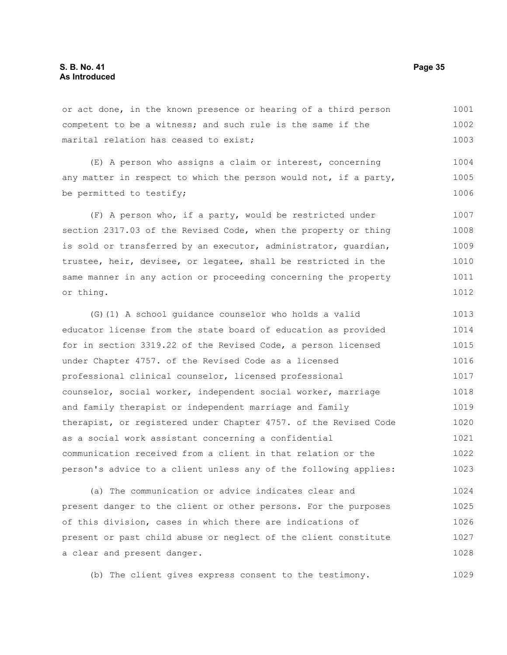or act done, in the known presence or hearing of a third person competent to be a witness; and such rule is the same if the marital relation has ceased to exist; 1001 1002 1003

(E) A person who assigns a claim or interest, concerning any matter in respect to which the person would not, if a party, be permitted to testify; 1004 1005 1006

(F) A person who, if a party, would be restricted under section 2317.03 of the Revised Code, when the property or thing is sold or transferred by an executor, administrator, guardian, trustee, heir, devisee, or legatee, shall be restricted in the same manner in any action or proceeding concerning the property or thing. 1007 1008 1009 1010 1011 1012

(G)(1) A school guidance counselor who holds a valid educator license from the state board of education as provided for in section 3319.22 of the Revised Code, a person licensed under Chapter 4757. of the Revised Code as a licensed professional clinical counselor, licensed professional counselor, social worker, independent social worker, marriage and family therapist or independent marriage and family therapist, or registered under Chapter 4757. of the Revised Code as a social work assistant concerning a confidential communication received from a client in that relation or the person's advice to a client unless any of the following applies: 1013 1014 1015 1016 1017 1018 1019 1020 1021 1022 1023

(a) The communication or advice indicates clear and present danger to the client or other persons. For the purposes of this division, cases in which there are indications of present or past child abuse or neglect of the client constitute a clear and present danger. 1024 1025 1026 1027 1028

(b) The client gives express consent to the testimony. 1029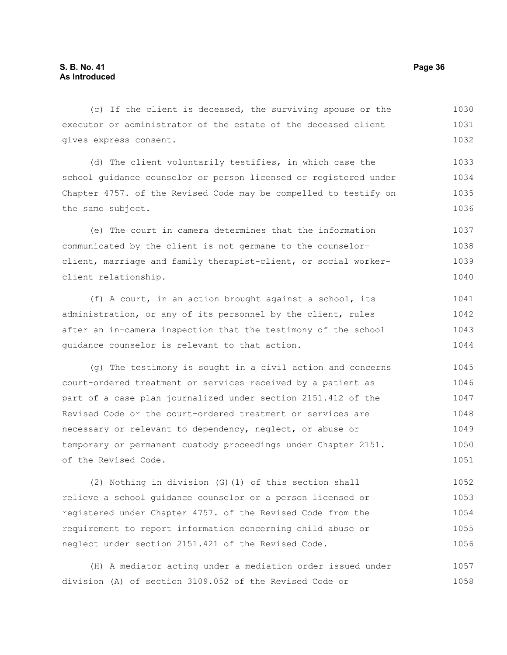1056

| (c) If the client is deceased, the surviving spouse or the       | 1030 |
|------------------------------------------------------------------|------|
| executor or administrator of the estate of the deceased client   | 1031 |
| gives express consent.                                           | 1032 |
| (d) The client voluntarily testifies, in which case the          | 1033 |
| school guidance counselor or person licensed or registered under | 1034 |
| Chapter 4757. of the Revised Code may be compelled to testify on | 1035 |
| the same subject.                                                | 1036 |
| (e) The court in camera determines that the information          | 1037 |
| communicated by the client is not germane to the counselor-      | 1038 |
| client, marriage and family therapist-client, or social worker-  | 1039 |
| client relationship.                                             | 1040 |
| (f) A court, in an action brought against a school, its          | 1041 |
| administration, or any of its personnel by the client, rules     | 1042 |
| after an in-camera inspection that the testimony of the school   | 1043 |
| guidance counselor is relevant to that action.                   | 1044 |
| (g) The testimony is sought in a civil action and concerns       | 1045 |
| court-ordered treatment or services received by a patient as     | 1046 |
| part of a case plan journalized under section 2151.412 of the    | 1047 |
| Revised Code or the court-ordered treatment or services are      | 1048 |
| necessary or relevant to dependency, neglect, or abuse or        | 1049 |
| temporary or permanent custody proceedings under Chapter 2151.   | 1050 |
| of the Revised Code.                                             | 1051 |
| (2) Nothing in division (G) (1) of this section shall            | 1052 |
| relieve a school guidance counselor or a person licensed or      | 1053 |
| registered under Chapter 4757. of the Revised Code from the      | 1054 |
| requirement to report information concerning child abuse or      | 1055 |

(H) A mediator acting under a mediation order issued under division (A) of section 3109.052 of the Revised Code or 1057 1058

neglect under section 2151.421 of the Revised Code.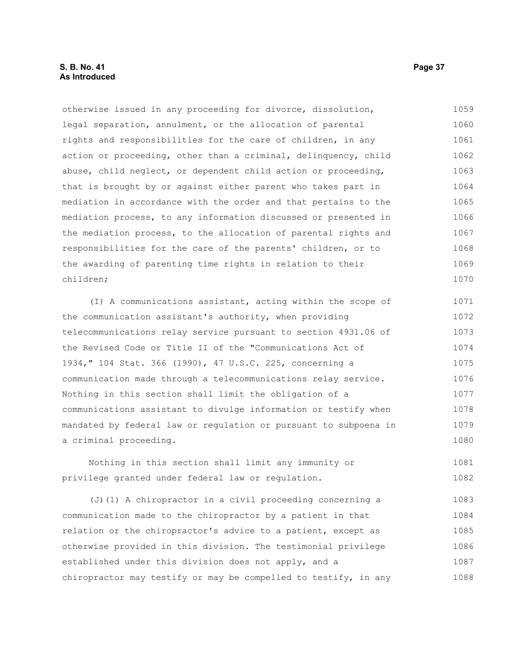#### **S. B. No. 41 Page 37 As Introduced**

otherwise issued in any proceeding for divorce, dissolution, legal separation, annulment, or the allocation of parental rights and responsibilities for the care of children, in any action or proceeding, other than a criminal, delinquency, child abuse, child neglect, or dependent child action or proceeding, that is brought by or against either parent who takes part in mediation in accordance with the order and that pertains to the mediation process, to any information discussed or presented in the mediation process, to the allocation of parental rights and responsibilities for the care of the parents' children, or to the awarding of parenting time rights in relation to their children; 1059 1060 1061 1062 1063 1064 1065 1066 1067 1068 1069 1070

(I) A communications assistant, acting within the scope of the communication assistant's authority, when providing telecommunications relay service pursuant to section 4931.06 of the Revised Code or Title II of the "Communications Act of 1934," 104 Stat. 366 (1990), 47 U.S.C. 225, concerning a communication made through a telecommunications relay service. Nothing in this section shall limit the obligation of a communications assistant to divulge information or testify when mandated by federal law or regulation or pursuant to subpoena in a criminal proceeding. 1071 1072 1073 1074 1075 1076 1077 1078 1079 1080

Nothing in this section shall limit any immunity or privilege granted under federal law or regulation. 1081 1082

(J)(1) A chiropractor in a civil proceeding concerning a communication made to the chiropractor by a patient in that relation or the chiropractor's advice to a patient, except as otherwise provided in this division. The testimonial privilege established under this division does not apply, and a chiropractor may testify or may be compelled to testify, in any 1083 1084 1085 1086 1087 1088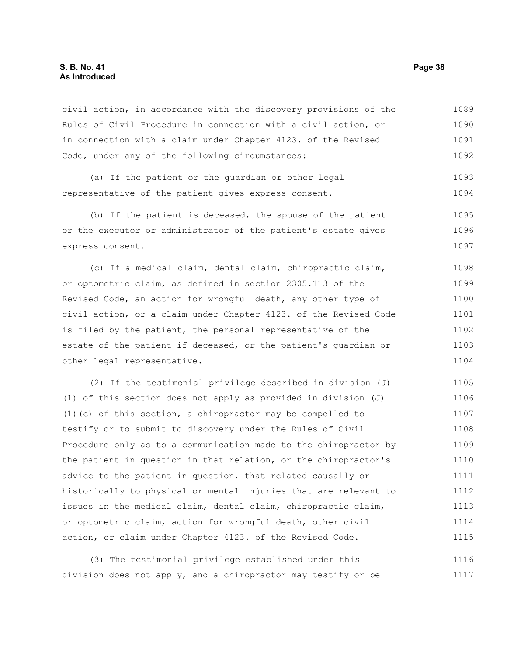#### **S. B. No. 41 Page 38 As Introduced**

civil action, in accordance with the discovery provisions of the Rules of Civil Procedure in connection with a civil action, or in connection with a claim under Chapter 4123. of the Revised Code, under any of the following circumstances: 1089 1090 1091 1092

(a) If the patient or the guardian or other legal representative of the patient gives express consent. 1093 1094

(b) If the patient is deceased, the spouse of the patient or the executor or administrator of the patient's estate gives express consent. 1095 1096 1097

(c) If a medical claim, dental claim, chiropractic claim, or optometric claim, as defined in section 2305.113 of the Revised Code, an action for wrongful death, any other type of civil action, or a claim under Chapter 4123. of the Revised Code is filed by the patient, the personal representative of the estate of the patient if deceased, or the patient's guardian or other legal representative. 1098 1099 1100 1101 1102 1103 1104

(2) If the testimonial privilege described in division (J) (1) of this section does not apply as provided in division (J) (1)(c) of this section, a chiropractor may be compelled to testify or to submit to discovery under the Rules of Civil Procedure only as to a communication made to the chiropractor by the patient in question in that relation, or the chiropractor's advice to the patient in question, that related causally or historically to physical or mental injuries that are relevant to issues in the medical claim, dental claim, chiropractic claim, or optometric claim, action for wrongful death, other civil action, or claim under Chapter 4123. of the Revised Code. 1105 1106 1107 1108 1109 1110 1111 1112 1113 1114 1115

(3) The testimonial privilege established under this division does not apply, and a chiropractor may testify or be 1116 1117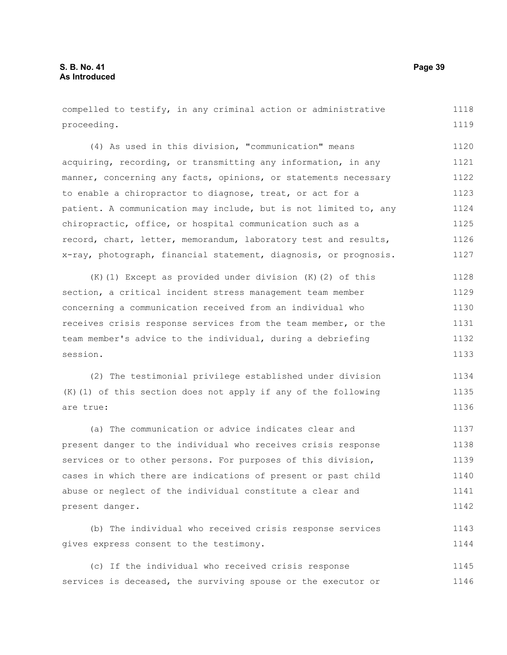| compelled to testify, in any criminal action or administrative   | 1118 |
|------------------------------------------------------------------|------|
| proceeding.                                                      | 1119 |
| (4) As used in this division, "communication" means              | 1120 |
| acquiring, recording, or transmitting any information, in any    | 1121 |
| manner, concerning any facts, opinions, or statements necessary  | 1122 |
| to enable a chiropractor to diagnose, treat, or act for a        | 1123 |
| patient. A communication may include, but is not limited to, any | 1124 |
| chiropractic, office, or hospital communication such as a        | 1125 |
| record, chart, letter, memorandum, laboratory test and results,  | 1126 |
| x-ray, photograph, financial statement, diagnosis, or prognosis. | 1127 |
| (K) (1) Except as provided under division (K) (2) of this        | 1128 |
| section, a critical incident stress management team member       | 1129 |
| concerning a communication received from an individual who       | 1130 |
| receives crisis response services from the team member, or the   | 1131 |
| team member's advice to the individual, during a debriefing      | 1132 |
| session.                                                         | 1133 |
| (2) The testimonial privilege established under division         | 1134 |
| (K) (1) of this section does not apply if any of the following   | 1135 |
| are true:                                                        | 1136 |
| (a) The communication or advice indicates clear and              | 1137 |
| present danger to the individual who receives crisis response    | 1138 |
| services or to other persons. For purposes of this division,     | 1139 |
| cases in which there are indications of present or past child    | 1140 |
| abuse or neglect of the individual constitute a clear and        | 1141 |
| present danger.                                                  | 1142 |
| (b) The individual who received crisis response services         | 1143 |
| gives express consent to the testimony.                          | 1144 |
| (c) If the individual who received crisis response               | 1145 |
| services is deceased, the surviving spouse or the executor or    | 1146 |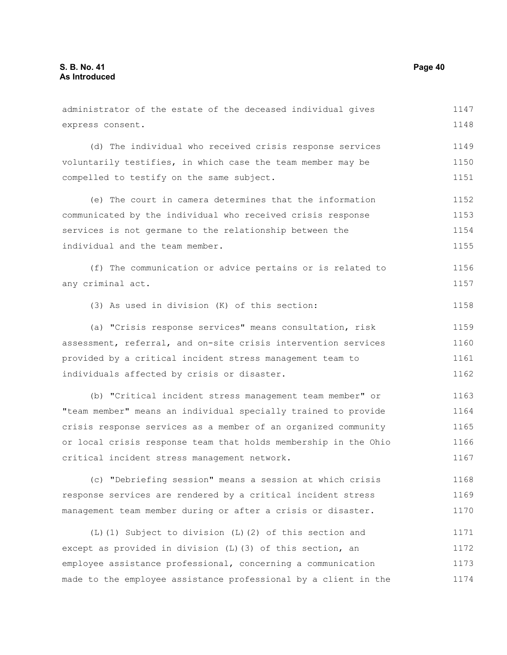| administrator of the estate of the deceased individual gives    | 1147 |
|-----------------------------------------------------------------|------|
| express consent.                                                | 1148 |
| (d) The individual who received crisis response services        | 1149 |
|                                                                 |      |
| voluntarily testifies, in which case the team member may be     | 1150 |
| compelled to testify on the same subject.                       | 1151 |
| (e) The court in camera determines that the information         | 1152 |
| communicated by the individual who received crisis response     | 1153 |
| services is not germane to the relationship between the         | 1154 |
| individual and the team member.                                 | 1155 |
| (f) The communication or advice pertains or is related to       | 1156 |
| any criminal act.                                               | 1157 |
|                                                                 |      |
| (3) As used in division (K) of this section:                    | 1158 |
| (a) "Crisis response services" means consultation, risk         | 1159 |
| assessment, referral, and on-site crisis intervention services  | 1160 |
| provided by a critical incident stress management team to       | 1161 |
| individuals affected by crisis or disaster.                     | 1162 |
| (b) "Critical incident stress management team member" or        | 1163 |
| "team member" means an individual specially trained to provide  | 1164 |
| crisis response services as a member of an organized community  | 1165 |
| or local crisis response team that holds membership in the Ohio | 1166 |
| critical incident stress management network.                    | 1167 |
| (c) "Debriefing session" means a session at which crisis        | 1168 |
| response services are rendered by a critical incident stress    | 1169 |
| management team member during or after a crisis or disaster.    | 1170 |
|                                                                 |      |
| (L) (1) Subject to division (L) (2) of this section and         | 1171 |
| except as provided in division (L) (3) of this section, an      | 1172 |
| employee assistance professional, concerning a communication    | 1173 |

made to the employee assistance professional by a client in the 1174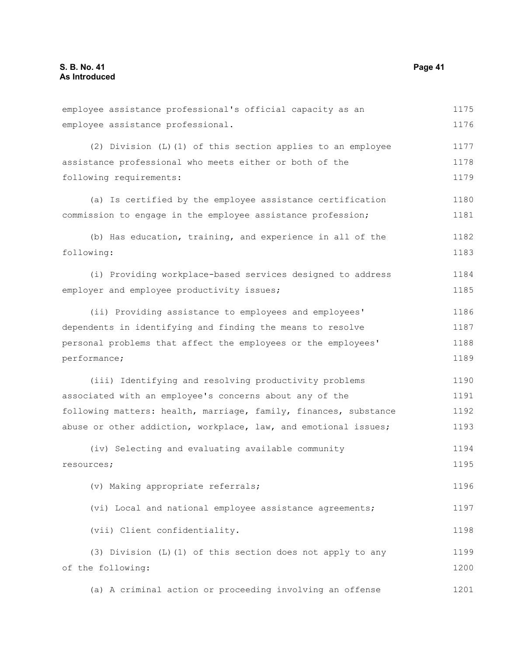employee assistance professional's official capacity as an employee assistance professional. (2) Division (L)(1) of this section applies to an employee assistance professional who meets either or both of the following requirements: (a) Is certified by the employee assistance certification commission to engage in the employee assistance profession; (b) Has education, training, and experience in all of the following: (i) Providing workplace-based services designed to address employer and employee productivity issues; (ii) Providing assistance to employees and employees' dependents in identifying and finding the means to resolve personal problems that affect the employees or the employees' performance; (iii) Identifying and resolving productivity problems associated with an employee's concerns about any of the following matters: health, marriage, family, finances, substance abuse or other addiction, workplace, law, and emotional issues; (iv) Selecting and evaluating available community resources; (v) Making appropriate referrals; (vi) Local and national employee assistance agreements; (vii) Client confidentiality. (3) Division (L)(1) of this section does not apply to any of the following: (a) A criminal action or proceeding involving an offense 1175 1176 1177 1178 1179 1180 1181 1182 1183 1184 1185 1186 1187 1188 1189 1190 1191 1192 1193 1194 1195 1196 1197 1198 1199 1200 1201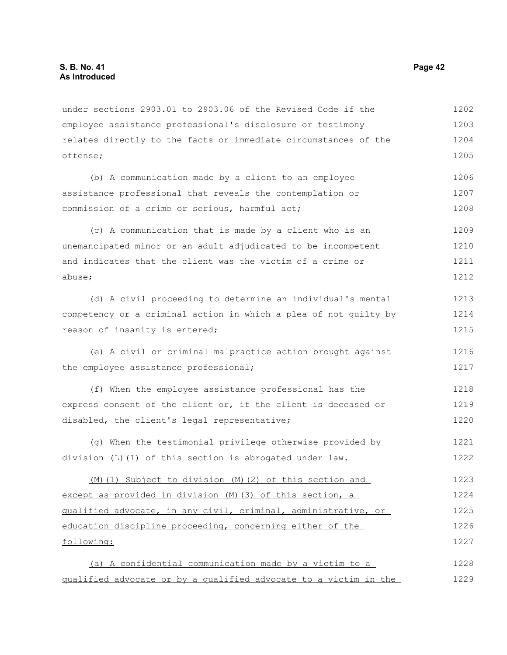under sections 2903.01 to 2903.06 of the Revised Code if the employee assistance professional's disclosure or testimony relates directly to the facts or immediate circumstances of the offense; (b) A communication made by a client to an employee assistance professional that reveals the contemplation or commission of a crime or serious, harmful act; (c) A communication that is made by a client who is an unemancipated minor or an adult adjudicated to be incompetent and indicates that the client was the victim of a crime or abuse; (d) A civil proceeding to determine an individual's mental competency or a criminal action in which a plea of not guilty by reason of insanity is entered; (e) A civil or criminal malpractice action brought against the employee assistance professional; (f) When the employee assistance professional has the express consent of the client or, if the client is deceased or disabled, the client's legal representative; (g) When the testimonial privilege otherwise provided by division (L)(1) of this section is abrogated under law. (M)(1) Subject to division (M)(2) of this section and except as provided in division (M)(3) of this section, a qualified advocate, in any civil, criminal, administrative, or education discipline proceeding, concerning either of the following: (a) A confidential communication made by a victim to a qualified advocate or by a qualified advocate to a victim in the 1202 1203 1204 1205 1206 1207 1208 1209 1210 1211 1212 1213 1214 1215 1216 1217 1218 1219 1220 1221 1222 1223 1224 1225 1226 1227 1228 1229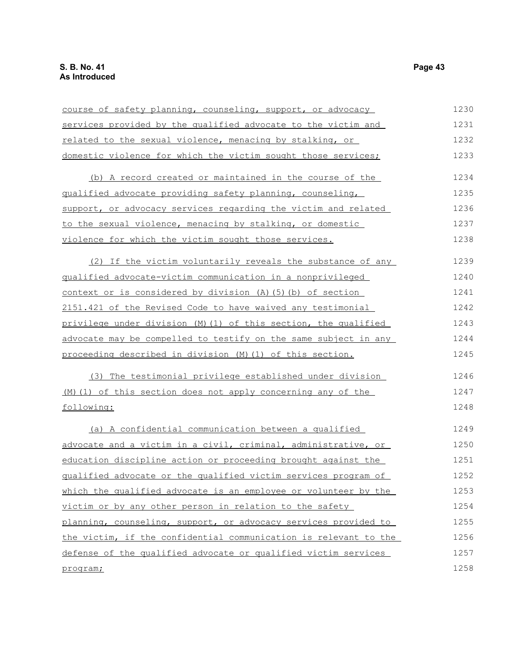| course of safety planning, counseling, support, or advocacy      | 1230 |
|------------------------------------------------------------------|------|
| services provided by the qualified advocate to the victim and    | 1231 |
| related to the sexual violence, menacing by stalking, or         | 1232 |
| domestic violence for which the victim sought those services;    | 1233 |
| (b) A record created or maintained in the course of the          | 1234 |
| qualified advocate providing safety planning, counseling,        | 1235 |
| support, or advocacy services regarding the victim and related   | 1236 |
| to the sexual violence, menacing by stalking, or domestic        | 1237 |
| violence for which the victim sought those services.             | 1238 |
| (2) If the victim voluntarily reveals the substance of any       | 1239 |
| qualified advocate-victim communication in a nonprivileged       | 1240 |
| context or is considered by division (A) (5) (b) of section      | 1241 |
| 2151.421 of the Revised Code to have waived any testimonial      | 1242 |
| privilege under division (M) (1) of this section, the qualified  | 1243 |
| advocate may be compelled to testify on the same subject in any  | 1244 |
| proceeding described in division (M) (1) of this section.        | 1245 |
| (3) The testimonial privilege established under division         | 1246 |
| (M) (1) of this section does not apply concerning any of the     | 1247 |
| following:                                                       | 1248 |
| (a) A confidential communication between a qualified             | 1249 |
| advocate and a victim in a civil, criminal, administrative, or   | 1250 |
| education discipline action or proceeding brought against the    | 1251 |
| qualified advocate or the qualified victim services program of   | 1252 |
| which the qualified advocate is an employee or volunteer by the  | 1253 |
| victim or by any other person in relation to the safety          | 1254 |
| planning, counseling, support, or advocacy services provided to  | 1255 |
| the victim, if the confidential communication is relevant to the | 1256 |
| defense of the qualified advocate or qualified victim services   | 1257 |
| program;                                                         | 1258 |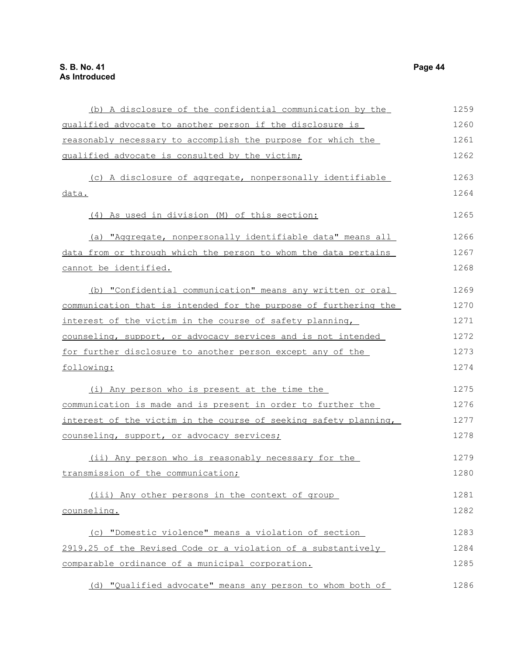| (b) A disclosure of the confidential communication by the        | 1259 |
|------------------------------------------------------------------|------|
| qualified advocate to another person if the disclosure is        | 1260 |
| reasonably necessary to accomplish the purpose for which the     | 1261 |
| qualified advocate is consulted by the victim;                   | 1262 |
| (c) A disclosure of aggregate, nonpersonally identifiable        | 1263 |
| data.                                                            | 1264 |
| (4) As used in division (M) of this section:                     | 1265 |
| (a) "Aggregate, nonpersonally identifiable data" means all       | 1266 |
| data from or through which the person to whom the data pertains  | 1267 |
| cannot be identified.                                            | 1268 |
| (b) "Confidential communication" means any written or oral       | 1269 |
| communication that is intended for the purpose of furthering the | 1270 |
| interest of the victim in the course of safety planning,         | 1271 |
| counseling, support, or advocacy services and is not intended    | 1272 |
| for further disclosure to another person except any of the       | 1273 |
| following:                                                       | 1274 |
| (i) Any person who is present at the time the                    | 1275 |
| communication is made and is present in order to further the     | 1276 |
| interest of the victim in the course of seeking safety planning, | 1277 |
| counseling, support, or advocacy services;                       | 1278 |
| (ii) Any person who is reasonably necessary for the              | 1279 |
| transmission of the communication;                               | 1280 |
| (iii) Any other persons in the context of group                  | 1281 |
| counseling.                                                      | 1282 |
| (c) "Domestic violence" means a violation of section             | 1283 |
| 2919.25 of the Revised Code or a violation of a substantively    | 1284 |
| comparable ordinance of a municipal corporation.                 | 1285 |
| (d) "Qualified advocate" means any person to whom both of        | 1286 |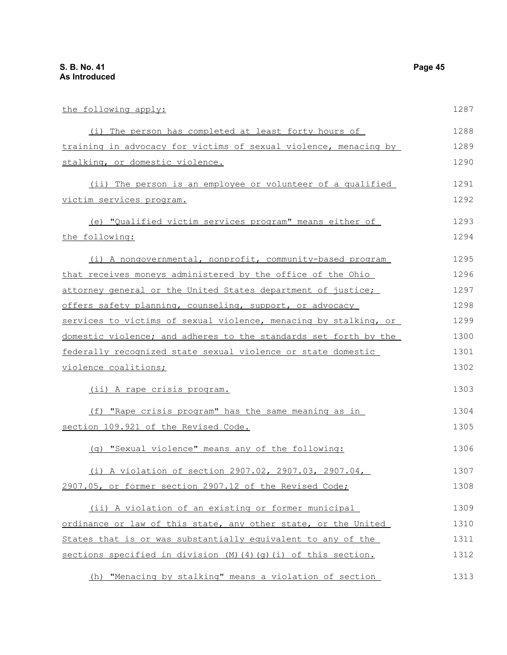the following apply:

| (i) The person has completed at least forty hours of             | 1288 |
|------------------------------------------------------------------|------|
| training in advocacy for victims of sexual violence, menacing by | 1289 |
| stalking, or domestic violence.                                  | 1290 |
| (ii) The person is an employee or volunteer of a qualified       | 1291 |
| victim services program.                                         | 1292 |
| (e) "Qualified victim services program" means either of          | 1293 |
| the following:                                                   | 1294 |
| (i) A nongovernmental, nonprofit, community-based program        | 1295 |
| that receives moneys administered by the office of the Ohio      | 1296 |
| attorney general or the United States department of justice;     | 1297 |
| offers safety planning, counseling, support, or advocacy         | 1298 |
| services to victims of sexual violence, menacing by stalking, or | 1299 |
| domestic violence; and adheres to the standards set forth by the | 1300 |
| federally recognized state sexual violence or state domestic     | 1301 |
| violence coalitions;                                             | 1302 |
| (ii) A rape crisis program.                                      | 1303 |
| (f) "Rape crisis program" has the same meaning as in             | 1304 |
| section 109.921 of the Revised Code.                             | 1305 |
| (q) "Sexual violence" means any of the following:                | 1306 |
| (i) A violation of section 2907.02, 2907.03, 2907.04,            | 1307 |
| 2907.05, or former section 2907.12 of the Revised Code;          | 1308 |
| (ii) A violation of an existing or former municipal              | 1309 |
| ordinance or law of this state, any other state, or the United   | 1310 |
| States that is or was substantially equivalent to any of the     | 1311 |
| sections specified in division (M)(4)(g)(i) of this section.     | 1312 |
| (h) "Menacing by stalking" means a violation of section          | 1313 |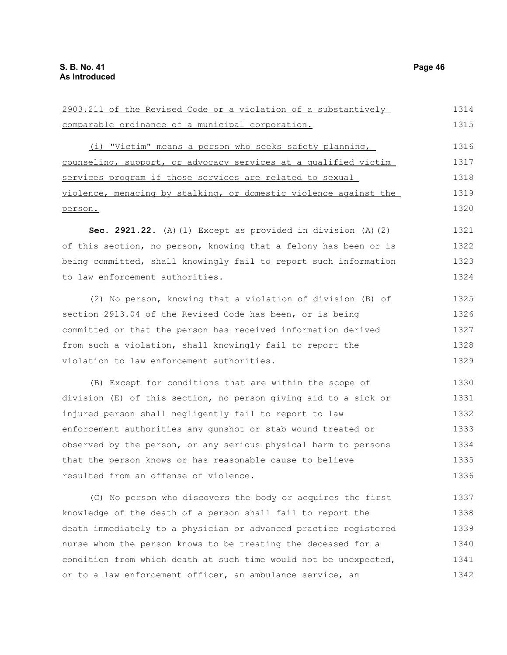(i) "Victim" means a person who seeks safety planning, counseling, support, or advocacy services at a qualified victim services program if those services are related to sexual violence, menacing by stalking, or domestic violence against the person. **Sec. 2921.22.** (A)(1) Except as provided in division (A)(2) of this section, no person, knowing that a felony has been or is being committed, shall knowingly fail to report such information to law enforcement authorities. (2) No person, knowing that a violation of division (B) of section 2913.04 of the Revised Code has been, or is being committed or that the person has received information derived from such a violation, shall knowingly fail to report the violation to law enforcement authorities. (B) Except for conditions that are within the scope of division (E) of this section, no person giving aid to a sick or injured person shall negligently fail to report to law enforcement authorities any gunshot or stab wound treated or observed by the person, or any serious physical harm to persons that the person knows or has reasonable cause to believe resulted from an offense of violence. (C) No person who discovers the body or acquires the first knowledge of the death of a person shall fail to report the death immediately to a physician or advanced practice registered 1316 1317 1318 1319 1320 1321 1322 1323 1324 1325 1326 1327 1328 1329 1330 1331 1332 1333 1334 1335 1336 1337 1338 1339

2 903.211 of the Revised Code or a violation of a substantively

comparable ordinance of a municipal corporation.

nurse whom the person knows to be treating the deceased for a condition from which death at such time would not be unexpected, or to a law enforcement officer, an ambulance service, an 1340 1341 1342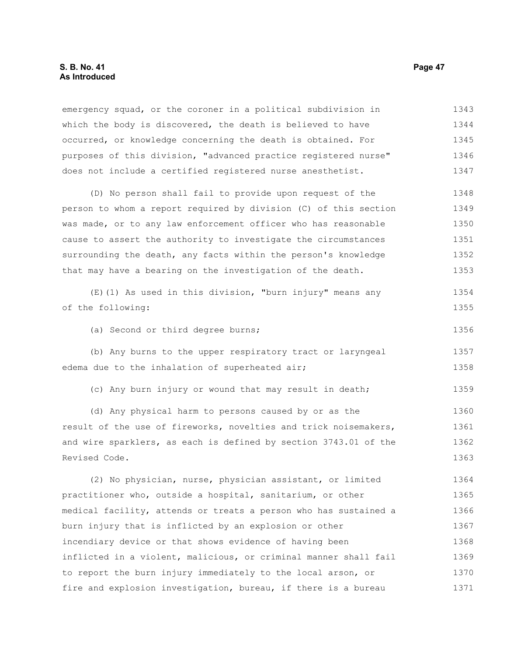#### **S. B. No. 41 Page 47 As Introduced**

emergency squad, or the coroner in a political subdivision in which the body is discovered, the death is believed to have occurred, or knowledge concerning the death is obtained. For purposes of this division, "advanced practice registered nurse" does not include a certified registered nurse anesthetist. 1343 1344 1345 1346 1347

(D) No person shall fail to provide upon request of the person to whom a report required by division (C) of this section was made, or to any law enforcement officer who has reasonable cause to assert the authority to investigate the circumstances surrounding the death, any facts within the person's knowledge that may have a bearing on the investigation of the death. 1348 1349 1350 1351 1352 1353

(E)(1) As used in this division, "burn injury" means any of the following: 1354 1355

(a) Second or third degree burns;

(b) Any burns to the upper respiratory tract or laryngeal edema due to the inhalation of superheated air; 1357 1358

(c) Any burn injury or wound that may result in death; 1359

(d) Any physical harm to persons caused by or as the result of the use of fireworks, novelties and trick noisemakers, and wire sparklers, as each is defined by section 3743.01 of the Revised Code. 1360 1361 1362 1363

(2) No physician, nurse, physician assistant, or limited practitioner who, outside a hospital, sanitarium, or other medical facility, attends or treats a person who has sustained a burn injury that is inflicted by an explosion or other incendiary device or that shows evidence of having been inflicted in a violent, malicious, or criminal manner shall fail to report the burn injury immediately to the local arson, or fire and explosion investigation, bureau, if there is a bureau 1364 1365 1366 1367 1368 1369 1370 1371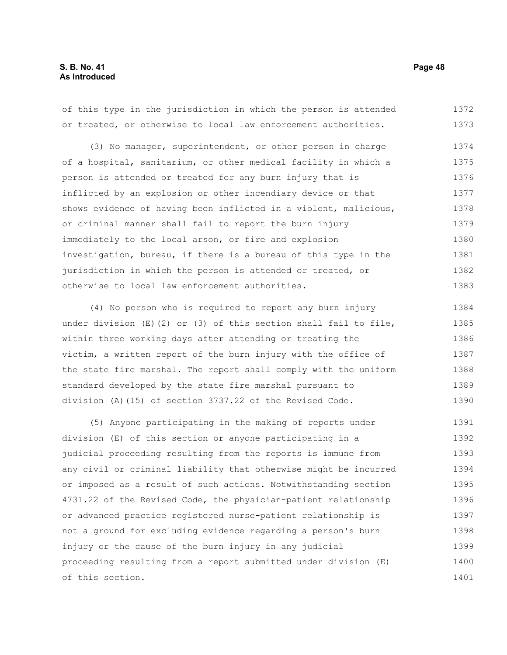#### **S. B. No. 41 Page 48 As Introduced**

of this type in the jurisdiction in which the person is attended or treated, or otherwise to local law enforcement authorities. 1372 1373

(3) No manager, superintendent, or other person in charge of a hospital, sanitarium, or other medical facility in which a person is attended or treated for any burn injury that is inflicted by an explosion or other incendiary device or that shows evidence of having been inflicted in a violent, malicious, or criminal manner shall fail to report the burn injury immediately to the local arson, or fire and explosion investigation, bureau, if there is a bureau of this type in the jurisdiction in which the person is attended or treated, or otherwise to local law enforcement authorities. 1374 1375 1376 1377 1378 1379 1380 1381 1382 1383

(4) No person who is required to report any burn injury under division  $(E)(2)$  or  $(3)$  of this section shall fail to file, within three working days after attending or treating the victim, a written report of the burn injury with the office of the state fire marshal. The report shall comply with the uniform standard developed by the state fire marshal pursuant to division (A)(15) of section 3737.22 of the Revised Code. 1384 1385 1386 1387 1388 1389 1390

(5) Anyone participating in the making of reports under division (E) of this section or anyone participating in a judicial proceeding resulting from the reports is immune from any civil or criminal liability that otherwise might be incurred or imposed as a result of such actions. Notwithstanding section 4731.22 of the Revised Code, the physician-patient relationship or advanced practice registered nurse-patient relationship is not a ground for excluding evidence regarding a person's burn injury or the cause of the burn injury in any judicial proceeding resulting from a report submitted under division (E) of this section. 1391 1392 1393 1394 1395 1396 1397 1398 1399 1400 1401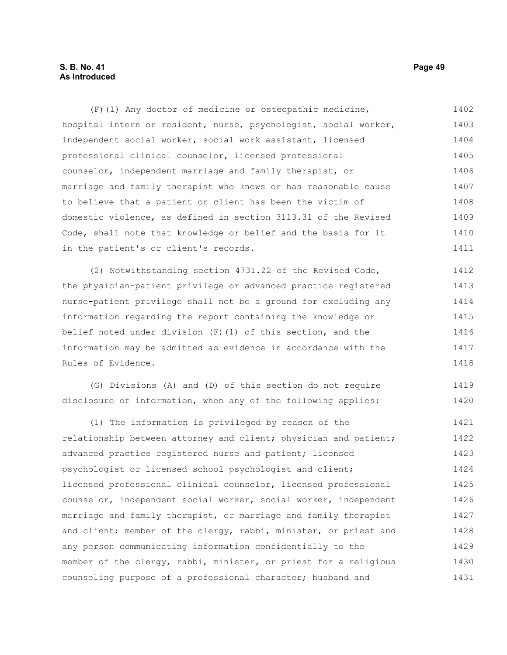#### **S. B. No. 41 Page 49 As Introduced**

(F)(1) Any doctor of medicine or osteopathic medicine, hospital intern or resident, nurse, psychologist, social worker, independent social worker, social work assistant, licensed professional clinical counselor, licensed professional counselor, independent marriage and family therapist, or marriage and family therapist who knows or has reasonable cause to believe that a patient or client has been the victim of domestic violence, as defined in section 3113.31 of the Revised Code, shall note that knowledge or belief and the basis for it in the patient's or client's records. 1402 1403 1404 1405 1406 1407 1408 1409 1410 1411

(2) Notwithstanding section 4731.22 of the Revised Code, the physician-patient privilege or advanced practice registered nurse-patient privilege shall not be a ground for excluding any information regarding the report containing the knowledge or belief noted under division (F)(1) of this section, and the information may be admitted as evidence in accordance with the Rules of Evidence. 1412 1413 1414 1415 1416 1417 1418

(G) Divisions (A) and (D) of this section do not require disclosure of information, when any of the following applies: 1419 1420

(1) The information is privileged by reason of the relationship between attorney and client; physician and patient; advanced practice registered nurse and patient; licensed psychologist or licensed school psychologist and client; licensed professional clinical counselor, licensed professional counselor, independent social worker, social worker, independent marriage and family therapist, or marriage and family therapist and client; member of the clergy, rabbi, minister, or priest and any person communicating information confidentially to the member of the clergy, rabbi, minister, or priest for a religious counseling purpose of a professional character; husband and 1421 1422 1423 1424 1425 1426 1427 1428 1429 1430 1431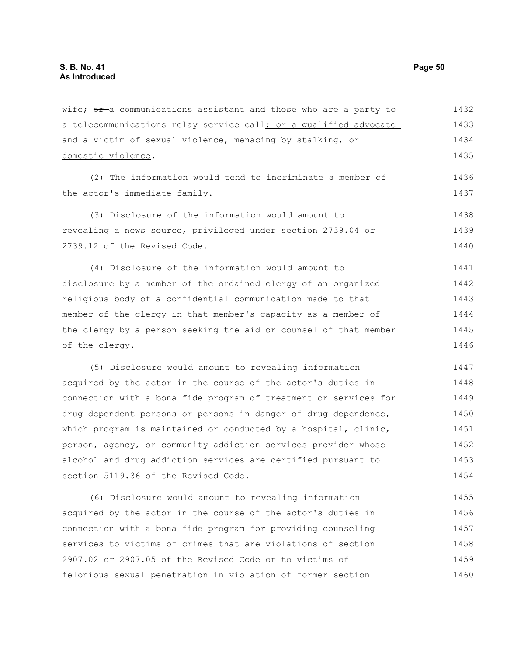a telecommunications relay service call; or a qualified advocate and a victim of sexual violence, menacing by stalking, or domestic violence. (2) The information would tend to incriminate a member of the actor's immediate family. (3) Disclosure of the information would amount to revealing a news source, privileged under section 2739.04 or 2739.12 of the Revised Code. (4) Disclosure of the information would amount to disclosure by a member of the ordained clergy of an organized religious body of a confidential communication made to that member of the clergy in that member's capacity as a member of the clergy by a person seeking the aid or counsel of that member of the clergy. (5) Disclosure would amount to revealing information acquired by the actor in the course of the actor's duties in connection with a bona fide program of treatment or services for drug dependent persons or persons in danger of drug dependence, which program is maintained or conducted by a hospital, clinic, person, agency, or community addiction services provider whose alcohol and drug addiction services are certified pursuant to section 5119.36 of the Revised Code. (6) Disclosure would amount to revealing information acquired by the actor in the course of the actor's duties in connection with a bona fide program for providing counseling services to victims of crimes that are violations of section 2907.02 or 2907.05 of the Revised Code or to victims of felonious sexual penetration in violation of former section 1433 1434 1435 1436 1437 1438 1439 1440 1441 1442 1443 1444 1445 1446 1447 1448 1449 1450 1451 1452 1453 1454 1455 1456 1457 1458 1459 1460

wife;  $\theta$  - a communications assistant and those who are a party to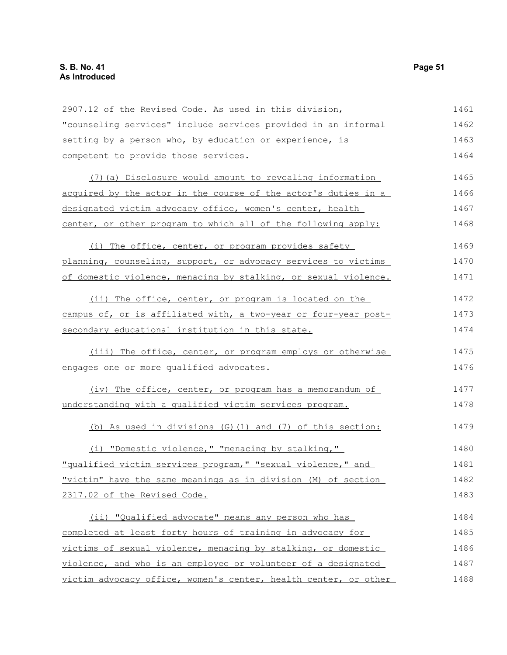2907.12 of the Revised Code. As used in this division, "counseling services" include services provided in an informal setting by a person who, by education or experience, is competent to provide those services. (7)(a) Disclosure would amount to revealing information acquired by the actor in the course of the actor's duties in a designated victim advocacy office, women's center, health center, or other program to which all of the following apply: (i) The office, center, or program provides safety planning, counseling, support, or advocacy services to victims of domestic violence, menacing by stalking, or sexual violence. (ii) The office, center, or program is located on the campus of, or is affiliated with, a two-year or four-year postsecondary educational institution in this state. (iii) The office, center, or program employs or otherwise engages one or more qualified advocates. (iv) The office, center, or program has a memorandum of understanding with a qualified victim services program. (b) As used in divisions (G)(1) and (7) of this section: (i) "Domestic violence," "menacing by stalking," "qualified victim services program," "sexual violence," and "victim" have the same meanings as in division (M) of section 2317.02 of the Revised Code. (ii) "Qualified advocate" means any person who has completed at least forty hours of training in advocacy for victims of sexual violence, menacing by stalking, or domestic violence, and who is an employee or volunteer of a designated victim advocacy office, women's center, health center, or other 1461 1462 1463 1464 1465 1466 1467 1468 1469 1470 1471 1472 1473 1474 1475 1476 1477 1478 1479 1480 1481 1482 1483 1484 1485 1486 1487 1488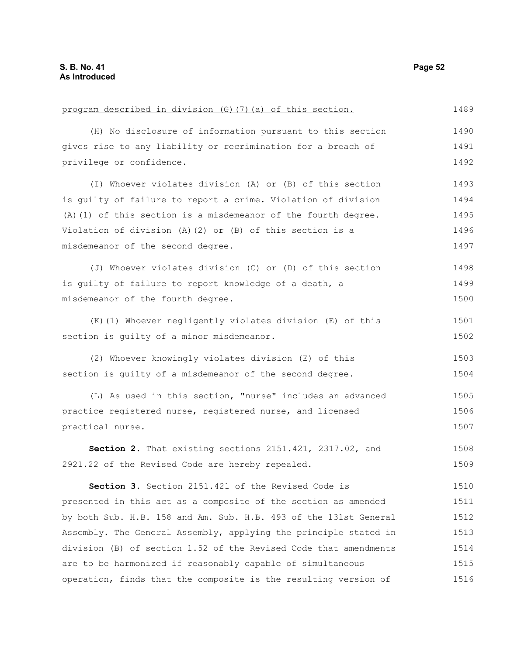program described in division (G)(7)(a) of this section. (H) No disclosure of information pursuant to this section gives rise to any liability or recrimination for a breach of privilege or confidence. (I) Whoever violates division (A) or (B) of this section is guilty of failure to report a crime. Violation of division (A)(1) of this section is a misdemeanor of the fourth degree. Violation of division (A)(2) or (B) of this section is a misdemeanor of the second degree. (J) Whoever violates division (C) or (D) of this section is guilty of failure to report knowledge of a death, a misdemeanor of the fourth degree. (K)(1) Whoever negligently violates division (E) of this section is guilty of a minor misdemeanor. (2) Whoever knowingly violates division (E) of this section is guilty of a misdemeanor of the second degree. (L) As used in this section, "nurse" includes an advanced practice registered nurse, registered nurse, and licensed practical nurse. **Section 2.** That existing sections 2151.421, 2317.02, and 2921.22 of the Revised Code are hereby repealed. **Section 3.** Section 2151.421 of the Revised Code is presented in this act as a composite of the section as amended by both Sub. H.B. 158 and Am. Sub. H.B. 493 of the 131st General Assembly. The General Assembly, applying the principle stated in division (B) of section 1.52 of the Revised Code that amendments are to be harmonized if reasonably capable of simultaneous operation, finds that the composite is the resulting version of 1489 1490 1491 1492 1493 1494 1495 1496 1497 1498 1499 1500 1501 1502 1503 1504 1505 1506 1507 1508 1509 1510 1511 1512 1513 1514 1515 1516